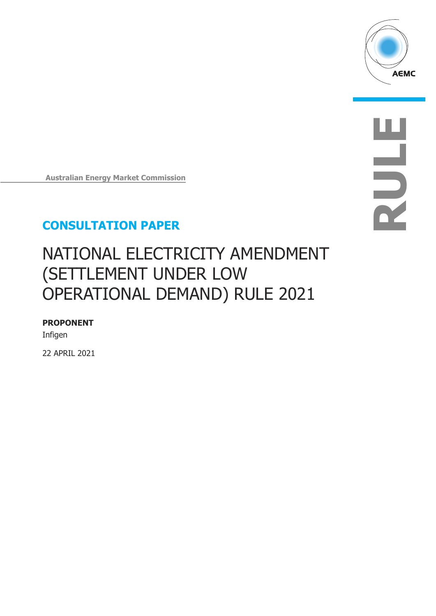

**RULE**

**Australian Energy Market Commission**

## **CONSULTATION PAPER**

# NATIONAL ELECTRICITY AMENDMENT (SETTLEMENT UNDER LOW OPERATIONAL DEMAND) RULE 2021

### **PROPONENT**

Infigen

22 APRIL 2021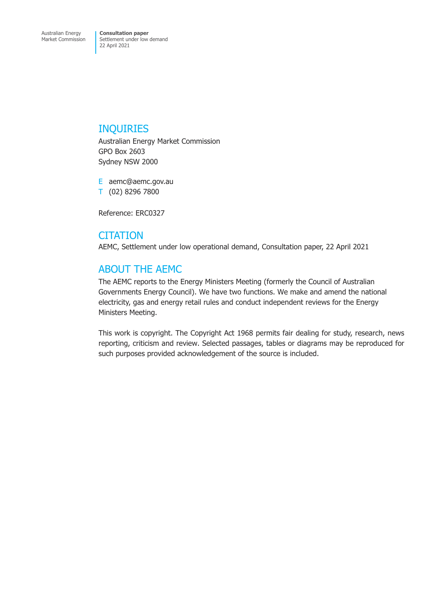### INQUIRIES

Australian Energy Market Commission GPO Box 2603 Sydney NSW 2000

E aemc@aemc.gov.au T (02) 8296 7800

Reference: ERC0327

### **CITATION**

AEMC, Settlement under low operational demand, Consultation paper, 22 April 2021

## ABOUT THE AEMC

The AEMC reports to the Energy Ministers Meeting (formerly the Council of Australian Governments Energy Council). We have two functions. We make and amend the national electricity, gas and energy retail rules and conduct independent reviews for the Energy Ministers Meeting.

This work is copyright. The Copyright Act 1968 permits fair dealing for study, research, news reporting, criticism and review. Selected passages, tables or diagrams may be reproduced for such purposes provided acknowledgement of the source is included.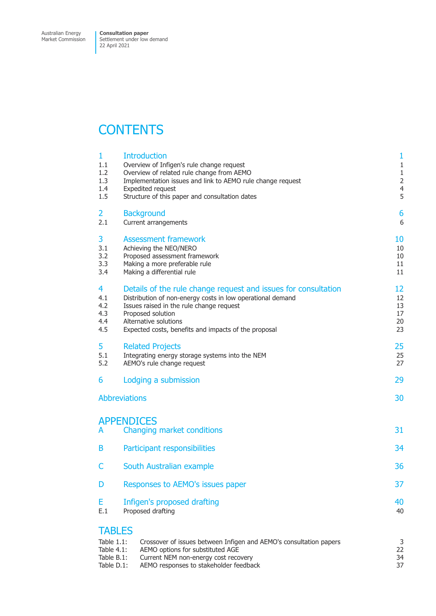## **CONTENTS**

| 1<br>1.1<br>1.2<br>1.3<br>1.4<br>1.5                                  | <b>Introduction</b><br>Overview of Infigen's rule change request<br>Overview of related rule change from AEMO<br>Implementation issues and link to AEMO rule change request<br>Expedited request<br>Structure of this paper and consultation dates                             | 1<br>$\mathbf{1}$<br>$1\,$<br>$\overline{2}$<br>$\overline{4}$<br>5 |
|-----------------------------------------------------------------------|--------------------------------------------------------------------------------------------------------------------------------------------------------------------------------------------------------------------------------------------------------------------------------|---------------------------------------------------------------------|
| $\overline{2}$<br>2.1                                                 | <b>Background</b><br>Current arrangements                                                                                                                                                                                                                                      | 6<br>6                                                              |
| 3<br>3.1<br>3.2<br>3.3<br>3.4                                         | <b>Assessment framework</b><br>Achieving the NEO/NERO<br>Proposed assessment framework<br>Making a more preferable rule<br>Making a differential rule                                                                                                                          | 10<br>10<br>10<br>11<br>11                                          |
| 4<br>4.1<br>4.2<br>4.3<br>4.4<br>4.5                                  | Details of the rule change request and issues for consultation<br>Distribution of non-energy costs in low operational demand<br>Issues raised in the rule change request<br>Proposed solution<br>Alternative solutions<br>Expected costs, benefits and impacts of the proposal | 12<br>12<br>13<br>17<br>20<br>23                                    |
| 5<br>5.1<br>5.2                                                       | <b>Related Projects</b><br>Integrating energy storage systems into the NEM<br>AEMO's rule change request                                                                                                                                                                       | 25<br>25<br>27                                                      |
| 6                                                                     | Lodging a submission                                                                                                                                                                                                                                                           | 29                                                                  |
|                                                                       | <b>Abbreviations</b>                                                                                                                                                                                                                                                           | 30                                                                  |
| A                                                                     | <b>APPENDICES</b><br>Changing market conditions                                                                                                                                                                                                                                | 31                                                                  |
| B                                                                     | Participant responsibilities                                                                                                                                                                                                                                                   | 34                                                                  |
| C                                                                     | South Australian example                                                                                                                                                                                                                                                       | 36                                                                  |
| D                                                                     | Responses to AEMO's issues paper                                                                                                                                                                                                                                               | 37                                                                  |
| Е<br>E.1                                                              | Infigen's proposed drafting<br>Proposed drafting                                                                                                                                                                                                                               | 40<br>40                                                            |
| <b>TABLES</b><br>Table 1.1:<br>Table 4.1:<br>Table B.1:<br>Table D.1: | Crossover of issues between Infigen and AEMO's consultation papers<br>AEMO options for substituted AGE<br>Current NEM non-energy cost recovery<br>AEMO responses to stakeholder feedback                                                                                       | 3<br>22<br>34<br>37                                                 |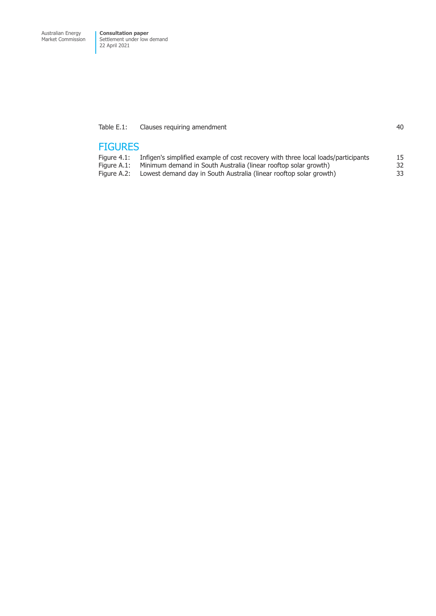#### [Table E.1: Clauses requiring amendment](#page-43-0) **All and Struck and Struck and All and All and All and All and All and Al**

### **FIGURES**

| Figure 4.1: | Infigen's simplified example of cost recovery with three local loads/participants | 15 |
|-------------|-----------------------------------------------------------------------------------|----|
|             | Figure A.1: Minimum demand in South Australia (linear rooftop solar growth)       | 32 |
|             | Figure A.2: Lowest demand day in South Australia (linear rooftop solar growth)    | 33 |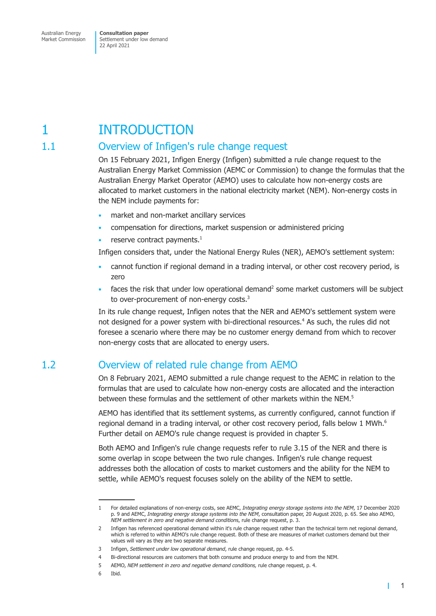## <span id="page-4-0"></span>1 INTRODUCTION

## 1.1 Overview of Infigen's rule change request

On 15 February 2021, Infigen Energy (Infigen) submitted a rule change request to the Australian Energy Market Commission (AEMC or Commission) to change the formulas that the Australian Energy Market Operator (AEMO) uses to calculate how non-energy costs are allocated to market customers in the national electricity market (NEM). Non-energy costs in the NEM include payments for:

- market and non-market ancillary services
- compensation for directions, market suspension or administered pricing
- reserve contract payments. $<sup>1</sup>$ </sup>

Infigen considers that, under the National Energy Rules (NER), AEMO's settlement system:

- cannot function if regional demand in a trading interval, or other cost recovery period, is zero
- faces the risk that under low operational demand<sup>2</sup> some market customers will be subject to over-procurement of non-energy costs.<sup>3</sup>

In its rule change request, Infigen notes that the NER and AEMO's settlement system were not designed for a power system with bi-directional resources.<sup>4</sup> As such, the rules did not foresee a scenario where there may be no customer energy demand from which to recover non-energy costs that are allocated to energy users.

## 1.2 Overview of related rule change from AEMO

On 8 February 2021, AEMO submitted a rule change request to the AEMC in relation to the formulas that are used to calculate how non-energy costs are allocated and the interaction between these formulas and the settlement of other markets within the NEM.5

AEMO has identified that its settlement systems, as currently configured, cannot function if regional demand in a trading interval, or other cost recovery period, falls below 1 MWh.<sup>6</sup> Further detail on AEMO's rule change request is provided in chapter 5.

Both AEMO and Infigen's rule change requests refer to rule 3.15 of the NER and there is some overlap in scope between the two rule changes. Infigen's rule change request addresses both the allocation of costs to market customers and the ability for the NEM to settle, while AEMO's request focuses solely on the ability of the NEM to settle.

 $\mathbf{I}$ 

<sup>1</sup> For detailed explanations of non-energy costs, see AEMC, *Integrating energy storage systems into the NEM*, 17 December 2020 p. 9 and AEMC, *Integrating energy storage systems into the NEM*, consultation paper, 20 August 2020, p. 65. See also AEMO, *NEM settlement in zero and negative demand condition*s, rule change request, p. 3.

<sup>2</sup> Infigen has referenced operational demand within it's rule change request rather than the technical term net regional demand, which is referred to within AEMO's rule change request. Both of these are measures of market customers demand but their values will vary as they are two separate measures.

<sup>3</sup> Infigen, *Settlement under low operational demand*, rule change request, pp. 4-5.

<sup>4</sup> Bi-directional resources are customers that both consume and produce energy to and from the NEM.

<sup>5</sup> AEMO, *NEM settlement in zero and negative demand conditions,* rule change request, p. 4.

<sup>6</sup> Ibid.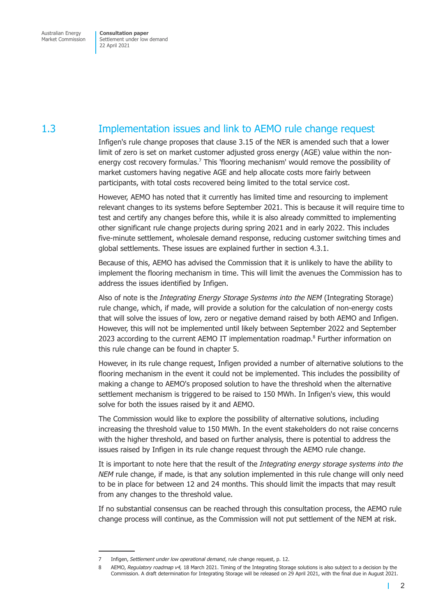## <span id="page-5-0"></span>1.3 Implementation issues and link to AEMO rule change request

Infigen's rule change proposes that clause 3.15 of the NER is amended such that a lower limit of zero is set on market customer adjusted gross energy (AGE) value within the nonenergy cost recovery formulas.<sup>7</sup> This 'flooring mechanism' would remove the possibility of market customers having negative AGE and help allocate costs more fairly between participants, with total costs recovered being limited to the total service cost.

However, AEMO has noted that it currently has limited time and resourcing to implement relevant changes to its systems before September 2021. This is because it will require time to test and certify any changes before this, while it is also already committed to implementing other significant rule change projects during spring 2021 and in early 2022. This includes five-minute settlement, wholesale demand response, reducing customer switching times and global settlements. These issues are explained further in [section 4.3.1.](#page-22-0)

Because of this, AEMO has advised the Commission that it is unlikely to have the ability to implement the flooring mechanism in time. This will limit the avenues the Commission has to address the issues identified by Infigen.

Also of note is the *Integrating Energy Storage Systems into the NEM* (Integrating Storage) rule change, which, if made, will provide a solution for the calculation of non-energy costs that will solve the issues of low, zero or negative demand raised by both AEMO and Infigen. However, this will not be implemented until likely between September 2022 and September 2023 according to the current AEMO IT implementation roadmap. $8$  Further information on this rule change can be found in chapter 5.

However, in its rule change request, Infigen provided a number of alternative solutions to the flooring mechanism in the event it could not be implemented. This includes the possibility of making a change to AEMO's proposed solution to have the threshold when the alternative settlement mechanism is triggered to be raised to 150 MWh. In Infigen's view, this would solve for both the issues raised by it and AEMO.

The Commission would like to explore the possibility of alternative solutions, including increasing the threshold value to 150 MWh. In the event stakeholders do not raise concerns with the higher threshold, and based on further analysis, there is potential to address the issues raised by Infigen in its rule change request through the AEMO rule change.

It is important to note here that the result of the *Integrating energy storage systems into the NEM* rule change, if made, is that any solution implemented in this rule change will only need to be in place for between 12 and 24 months. This should limit the impacts that may result from any changes to the threshold value.

If no substantial consensus can be reached through this consultation process, the AEMO rule change process will continue, as the Commission will not put settlement of the NEM at risk.

<sup>7</sup> Infigen, *Settlement under low operational demand*, rule change request, p. 12.

<sup>8</sup> AEMO, *Regulatory roadmap v4,* 18 March 2021. Timing of the Integrating Storage solutions is also subject to a decision by the Commission. A draft determination for Integrating Storage will be released on 29 April 2021, with the final due in August 2021.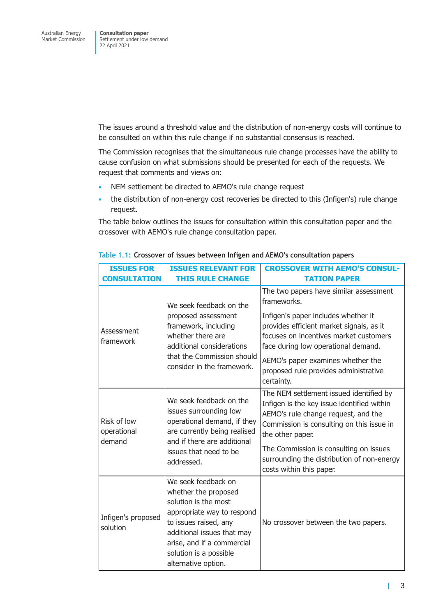<span id="page-6-0"></span>The issues around a threshold value and the distribution of non-energy costs will continue to be consulted on within this rule change if no substantial consensus is reached.

The Commission recognises that the simultaneous rule change processes have the ability to cause confusion on what submissions should be presented for each of the requests. We request that comments and views on:

- NEM settlement be directed to AEMO's rule change request
- the distribution of non-energy cost recoveries be directed to this (Infigen's) rule change request.

The table below outlines the issues for consultation within this consultation paper and the crossover with AEMO's rule change consultation paper.

| <b>ISSUES FOR</b><br><b>CONSULTATION</b> | <b>ISSUES RELEVANT FOR</b><br><b>THIS RULE CHANGE</b>                                                                                                                                                                                   | <b>CROSSOVER WITH AEMO'S CONSUL-</b><br><b>TATION PAPER</b>                                                                                                                                                                                                                                                           |
|------------------------------------------|-----------------------------------------------------------------------------------------------------------------------------------------------------------------------------------------------------------------------------------------|-----------------------------------------------------------------------------------------------------------------------------------------------------------------------------------------------------------------------------------------------------------------------------------------------------------------------|
| Assessment<br>framework                  | We seek feedback on the<br>proposed assessment<br>framework, including<br>whether there are<br>additional considerations<br>that the Commission should<br>consider in the framework.                                                    | The two papers have similar assessment<br>frameworks.<br>Infigen's paper includes whether it<br>provides efficient market signals, as it<br>focuses on incentives market customers<br>face during low operational demand.<br>AEMO's paper examines whether the<br>proposed rule provides administrative<br>certainty. |
| Risk of low<br>operational<br>demand     | We seek feedback on the<br>issues surrounding low<br>operational demand, if they<br>are currently being realised<br>and if there are additional<br>issues that need to be<br>addressed.                                                 | The NEM settlement issued identified by<br>Infigen is the key issue identified within<br>AEMO's rule change request, and the<br>Commission is consulting on this issue in<br>the other paper.<br>The Commission is consulting on issues<br>surrounding the distribution of non-energy<br>costs within this paper.     |
| Infigen's proposed<br>solution           | We seek feedback on<br>whether the proposed<br>solution is the most<br>appropriate way to respond<br>to issues raised, any<br>additional issues that may<br>arise, and if a commercial<br>solution is a possible<br>alternative option. | No crossover between the two papers.                                                                                                                                                                                                                                                                                  |

#### **Table 1.1: Crossover of issues between Infigen and AEMO's consultation papers**

Ī.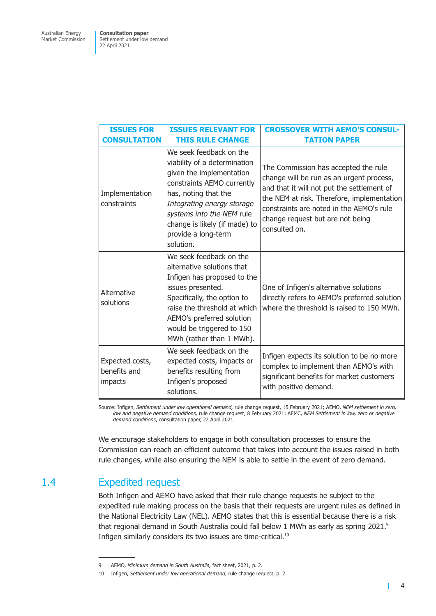<span id="page-7-0"></span>

| <b>ISSUES FOR</b><br><b>CONSULTATION</b>   | <b>ISSUES RELEVANT FOR</b><br><b>THIS RULE CHANGE</b>                                                                                                                                                                                                                     | <b>CROSSOVER WITH AEMO'S CONSUL-</b><br><b>TATION PAPER</b>                                                                                                                                                                                                                   |
|--------------------------------------------|---------------------------------------------------------------------------------------------------------------------------------------------------------------------------------------------------------------------------------------------------------------------------|-------------------------------------------------------------------------------------------------------------------------------------------------------------------------------------------------------------------------------------------------------------------------------|
| Implementation<br>constraints              | We seek feedback on the<br>viability of a determination<br>given the implementation<br>constraints AEMO currently<br>has, noting that the<br>Integrating energy storage<br>systems into the NEM rule<br>change is likely (if made) to<br>provide a long-term<br>solution. | The Commission has accepted the rule<br>change will be run as an urgent process,<br>and that it will not put the settlement of<br>the NEM at risk. Therefore, implementation<br>constraints are noted in the AEMO's rule<br>change request but are not being<br>consulted on. |
| Alternative<br>solutions                   | We seek feedback on the<br>alternative solutions that<br>Infigen has proposed to the<br>issues presented.<br>Specifically, the option to<br>raise the threshold at which<br>AEMO's preferred solution<br>would be triggered to 150<br>MWh (rather than 1 MWh).            | One of Infigen's alternative solutions<br>directly refers to AEMO's preferred solution<br>where the threshold is raised to 150 MWh.                                                                                                                                           |
| Expected costs,<br>benefits and<br>impacts | We seek feedback on the<br>expected costs, impacts or<br>benefits resulting from<br>Infigen's proposed<br>solutions.                                                                                                                                                      | Infigen expects its solution to be no more<br>complex to implement than AEMO's with<br>significant benefits for market customers<br>with positive demand.                                                                                                                     |

Source: Infigen, *Settlement under low operational demand,* rule change request, 15 February 2021; AEMO, *NEM settlement in zero, low and negative demand conditions,* rule change request, 8 February 2021; AEMC, *NEM Settlement in low, zero or negative demand conditions*, consultation paper, 22 April 2021.

We encourage stakeholders to engage in both consultation processes to ensure the Commission can reach an efficient outcome that takes into account the issues raised in both rule changes, while also ensuring the NEM is able to settle in the event of zero demand.

## 1.4 Expedited request

Both Infigen and AEMO have asked that their rule change requests be subject to the expedited rule making process on the basis that their requests are urgent rules as defined in the National Electricity Law (NEL). AEMO states that this is essential because there is a risk that regional demand in South Australia could fall below 1 MWh as early as spring 2021.<sup>9</sup> Infigen similarly considers its two issues are time-critical.<sup>10</sup>

<sup>9</sup> AEMO, *Minimum demand in South Australia,* fact sheet, 2021, p. 2.

<sup>10</sup> Infigen, *Settlement under low operational demand*, rule change request, p. 2.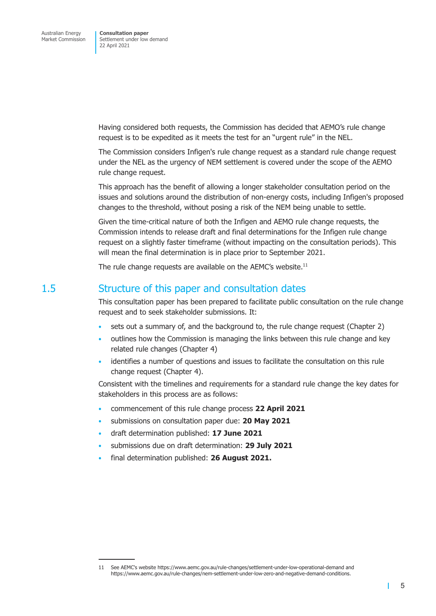<span id="page-8-0"></span>Having considered both requests, the Commission has decided that AEMO's rule change request is to be expedited as it meets the test for an "urgent rule" in the NEL.

The Commission considers Infigen's rule change request as a standard rule change request under the NEL as the urgency of NEM settlement is covered under the scope of the AEMO rule change request.

This approach has the benefit of allowing a longer stakeholder consultation period on the issues and solutions around the distribution of non-energy costs, including Infigen's proposed changes to the threshold, without posing a risk of the NEM being unable to settle.

Given the time-critical nature of both the Infigen and AEMO rule change requests, the Commission intends to release draft and final determinations for the Infigen rule change request on a slightly faster timeframe (without impacting on the consultation periods). This will mean the final determination is in place prior to September 2021.

The rule change requests are available on the AEMC's website.<sup>11</sup>

### 1.5 Structure of this paper and consultation dates

This consultation paper has been prepared to facilitate public consultation on the rule change request and to seek stakeholder submissions. It:

- sets out a summary of, and the background to, the rule change request (Chapter 2)
- outlines how the Commission is managing the links between this rule change and key related rule changes (Chapter 4)
- identifies a number of questions and issues to facilitate the consultation on this rule change request (Chapter 4).

Consistent with the timelines and requirements for a standard rule change the key dates for stakeholders in this process are as follows:

- commencement of this rule change process **22 April 2021**
- submissions on consultation paper due: **20 May 2021**
- draft determination published: **17 June 2021**
- submissions due on draft determination: **29 July 2021**
- final determination published: **26 August 2021.**

<sup>11</sup> See AEMC's website https://www.aemc.gov.au/rule-changes/settlement-under-low-operational-demand and https://www.aemc.gov.au/rule-changes/nem-settlement-under-low-zero-and-negative-demand-conditions.

<sup>5</sup>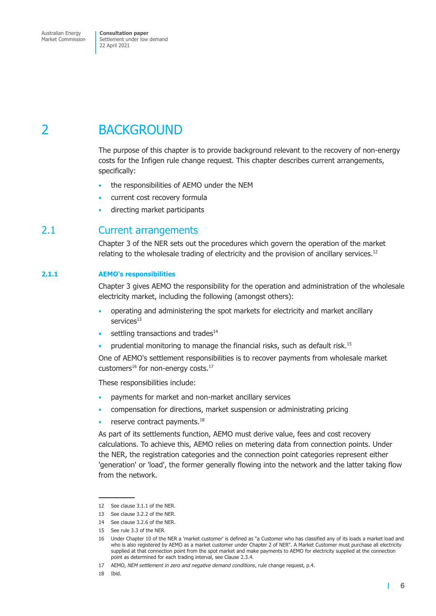## <span id="page-9-0"></span>2 BACKGROUND

The purpose of this chapter is to provide background relevant to the recovery of non-energy costs for the Infigen rule change request. This chapter describes current arrangements, specifically:

- the responsibilities of AEMO under the NEM
- current cost recovery formula
- directing market participants

### 2.1 Current arrangements

Chapter 3 of the NER sets out the procedures which govern the operation of the market relating to the wholesale trading of electricity and the provision of ancillary services.<sup>12</sup>

#### **2.1.1 AEMO's responsibilities**

Chapter 3 gives AEMO the responsibility for the operation and administration of the wholesale electricity market, including the following (amongst others):

- operating and administering the spot markets for electricity and market ancillary services<sup>13</sup>
- settling transactions and trades<sup>14</sup>
- prudential monitoring to manage the financial risks, such as default risk.<sup>15</sup>

One of AEMO's settlement responsibilities is to recover payments from wholesale market customers $^{16}$  for non-energy costs. $^{17}$ 

These responsibilities include:

- payments for market and non-market ancillary services
- compensation for directions, market suspension or administrating pricing
- reserve contract payments.<sup>18</sup>

As part of its settlements function, AEMO must derive value, fees and cost recovery calculations. To achieve this, AEMO relies on metering data from connection points. Under the NER, the registration categories and the connection point categories represent either 'generation' or 'load', the former generally flowing into the network and the latter taking flow from the network.

<span id="page-9-1"></span> $\mathbf{I}$ 

<sup>12</sup> See clause 3.1.1 of the NER.

<sup>13</sup> See clause 3.2.2 of the NER.

<sup>14</sup> See clause 3.2.6 of the NER.

<sup>15</sup> See rule 3.3 of the NER.

<sup>16</sup> Under Chapter 10 of the NER a 'market customer' is defined as "a Customer who has classified any of its loads a market load and who is also registered by AEMO as a market customer under Chapter 2 of NER". A Market Customer must purchase all electricity supplied at that connection point from the spot market and make payments to AEMO for electricity supplied at the connection point as determined for each trading interval, see Clause 2.3.4.

<sup>17</sup> AEMO, *NEM settlement in zero and negative demand conditions*, rule change request, p.4.

<sup>18</sup> Ibid.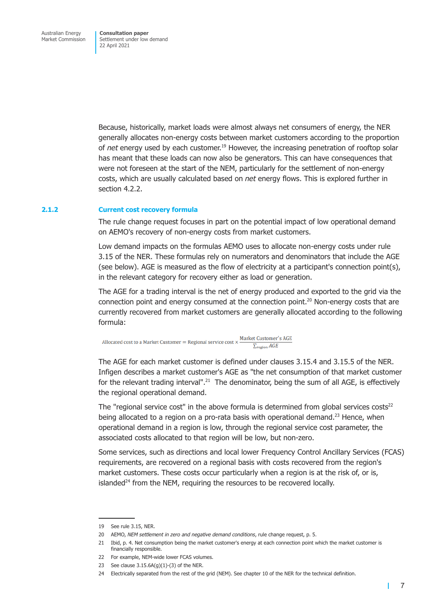Because, historically, market loads were almost always net consumers of energy, the NER generally allocates non-energy costs between market customers according to the proportion of *net* energy used by each customer.19 However, the increasing penetration of rooftop solar has meant that these loads can now also be generators. This can have consequences that were not foreseen at the start of the NEM, particularly for the settlement of non-energy costs, which are usually calculated based on *net* energy flows. This is explored further in [section 4.2.2.](#page-16-1)

#### **2.1.2 Current cost recovery formula**

The rule change request focuses in part on the potential impact of low operational demand on AEMO's recovery of non-energy costs from market customers.

Low demand impacts on the formulas AEMO uses to allocate non-energy costs under rule 3.15 of the NER. These formulas rely on numerators and denominators that include the AGE (see below). AGE is measured as the flow of electricity at a participant's connection point(s), in the relevant category for recovery either as load or generation.

The AGE for a trading interval is the net of energy produced and exported to the grid via the connection point and energy consumed at the connection point.<sup>20</sup> Non-energy costs that are currently recovered from market customers are generally allocated according to the following formula:

Allocated cost to a Market Customer = Regional service cost  $\times \frac{\text{Market Customer's AGE}}{\sum_{\text{region}} AGE}$  $\sum_{\text{region}} AGE$ 

The AGE for each market customer is defined under clauses 3.15.4 and 3.15.5 of the NER. Infigen describes a market customer's AGE as "the net consumption of that market customer for the relevant trading interval".<sup>21</sup> The denominator, being the sum of all AGE, is effectively the regional operational demand.

The "regional service cost" in the above formula is determined from global services  $costs<sup>22</sup>$ being allocated to a region on a pro-rata basis with operational demand.<sup>23</sup> Hence, when operational demand in a region is low, through the regional service cost parameter, the associated costs allocated to that region will be low, but non-zero.

Some services, such as directions and local lower Frequency Control Ancillary Services (FCAS) requirements, are recovered on a regional basis with costs recovered from the region's market customers. These costs occur particularly when a region is at the risk of, or is, islanded $24$  from the NEM, requiring the resources to be recovered locally.

<sup>19</sup> See rule 3.15, NER.

<sup>20</sup> AEMO, *NEM settlement in zero and negative demand conditions*, rule change request, p. 5.

<sup>21</sup> Ibid, p. 4. Net consumption being the market customer's energy at each connection point which the market customer is financially responsible.

<sup>22</sup> For example, NFM-wide lower FCAS volumes.

<sup>23</sup> See clause  $3.15.6A(g)(1)-(3)$  of the NER.

<sup>24</sup> Electrically separated from the rest of the grid (NEM). See chapter 10 of the NER for the technical definition.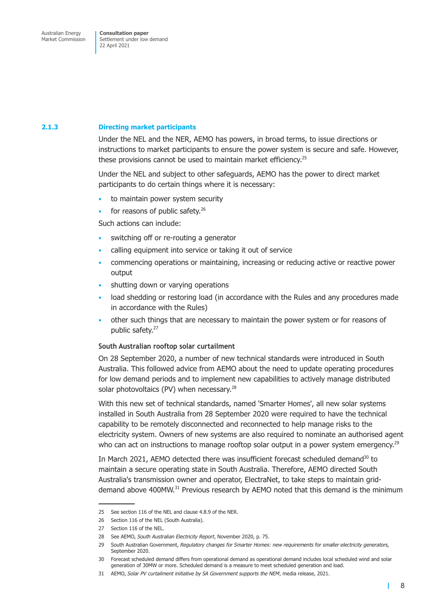#### **2.1.3 Directing market participants**

<span id="page-11-0"></span>Under the NEL and the NER, AEMO has powers, in broad terms, to issue directions or instructions to market participants to ensure the power system is secure and safe. However, these provisions cannot be used to maintain market efficiency.<sup>25</sup>

Under the NEL and subject to other safeguards, AEMO has the power to direct market participants to do certain things where it is necessary:

- to maintain power system security
- for reasons of public safety.<sup>26</sup>

Such actions can include:

- switching off or re-routing a generator
- calling equipment into service or taking it out of service
- commencing operations or maintaining, increasing or reducing active or reactive power output
- shutting down or varying operations
- load shedding or restoring load (in accordance with the Rules and any procedures made in accordance with the Rules)
- other such things that are necessary to maintain the power system or for reasons of public safety.<sup>27</sup>

#### **South Australian rooftop solar curtailment**

On 28 September 2020, a number of new technical standards were introduced in South Australia. This followed advice from AEMO about the need to update operating procedures for low demand periods and to implement new capabilities to actively manage distributed solar photovoltaics (PV) when necessary. $^{28}$ 

With this new set of technical standards, named 'Smarter Homes', all new solar systems installed in South Australia from 28 September 2020 were required to have the technical capability to be remotely disconnected and reconnected to help manage risks to the electricity system. Owners of new systems are also required to nominate an authorised agent who can act on instructions to manage rooftop solar output in a power system emergency.<sup>29</sup>

In March 2021, AEMO detected there was insufficient forecast scheduled demand<sup>30</sup> to maintain a secure operating state in South Australia. Therefore, AEMO directed South Australia's transmission owner and operator, ElectraNet, to take steps to maintain griddemand above 400MW.31 Previous research by AEMO noted that this demand is the minimum

<sup>25</sup> See section 116 of the NEL and clause 4.8.9 of the NER.

<sup>26</sup> Section 116 of the NEL (South Australia).

<sup>27</sup> Section 116 of the NEL.

<sup>28</sup> See AEMO, *South Australian Electricity Report*, November 2020, p. 75.

<sup>29</sup> South Australian Government, *Regulatory changes for Smarter Homes: new requirements for smaller electricity generators,* Sentember 2020

<sup>30</sup> Forecast scheduled demand differs from operational demand as operational demand includes local scheduled wind and solar generation of 30MW or more. Scheduled demand is a measure to meet scheduled generation and load.

<sup>31</sup> AEMO, *Solar PV curtailment initiative by SA Government supports the NEM*, media release, 2021.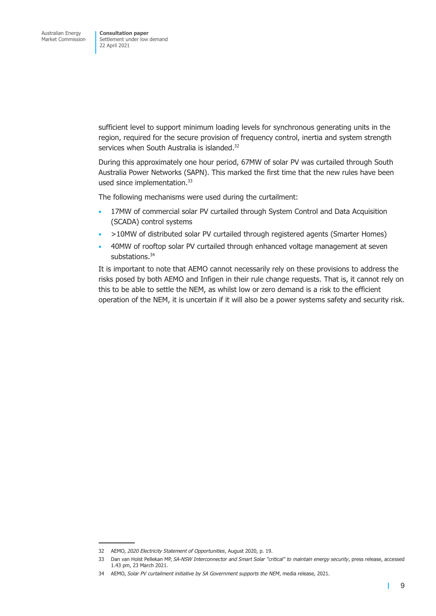sufficient level to support minimum loading levels for synchronous generating units in the region, required for the secure provision of frequency control, inertia and system strength services when South Australia is islanded.<sup>32</sup>

During this approximately one hour period, 67MW of solar PV was curtailed through South Australia Power Networks (SAPN). This marked the first time that the new rules have been used since implementation.<sup>33</sup>

The following mechanisms were used during the curtailment:

- 17MW of commercial solar PV curtailed through System Control and Data Acquisition (SCADA) control systems
- >10MW of distributed solar PV curtailed through registered agents (Smarter Homes)
- 40MW of rooftop solar PV curtailed through enhanced voltage management at seven substations.<sup>34</sup>

It is important to note that AEMO cannot necessarily rely on these provisions to address the risks posed by both AEMO and Infigen in their rule change requests. That is, it cannot rely on this to be able to settle the NEM, as whilst low or zero demand is a risk to the efficient operation of the NEM, it is uncertain if it will also be a power systems safety and security risk.

<sup>32</sup> AEMO, *2020 Electricity Statement of Opportunities*, August 2020, p. 19.

<sup>33</sup> Dan van Holst Pellekan MP, *SA-NSW Interconnector and Smart Solar "critical" to maintain energy security*, press release, accessed 1.43 pm, 23 March 2021.

<sup>34</sup> AEMO, *Solar PV curtailment initiative by SA Government supports the NEM*, media release, 2021.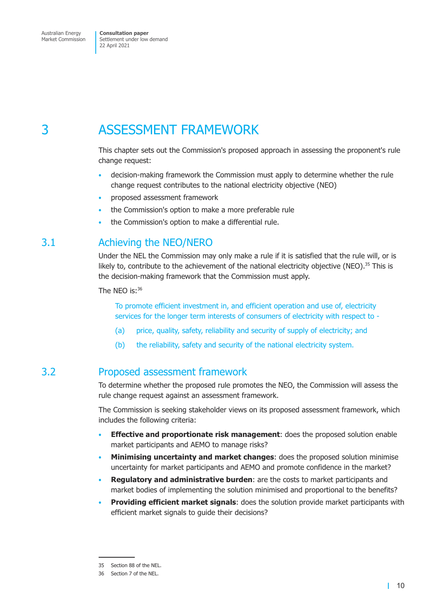## <span id="page-13-0"></span>3 ASSESSMENT FRAMEWORK

This chapter sets out the Commission's proposed approach in assessing the proponent's rule change request:

- <span id="page-13-1"></span>• decision-making framework the Commission must apply to determine whether the rule change request contributes to the national electricity objective (NEO)
- proposed assessment framework
- the Commission's option to make a more preferable rule
- the Commission's option to make a differential rule.

## 3.1 Achieving the NEO/NERO

Under the NEL the Commission may only make a rule if it is satisfied that the rule will, or is likely to, contribute to the achievement of the national electricity objective (NEO).<sup>35</sup> This is the decision-making framework that the Commission must apply.

The NEO is:<sup>36</sup>

To promote efficient investment in, and efficient operation and use of, electricity services for the longer term interests of consumers of electricity with respect to -

- (a) price, quality, safety, reliability and security of supply of electricity; and
- (b) the reliability, safety and security of the national electricity system.

### 3.2 Proposed assessment framework

To determine whether the proposed rule promotes the NEO, the Commission will assess the rule change request against an assessment framework.

The Commission is seeking stakeholder views on its proposed assessment framework, which includes the following criteria:

- **Effective and proportionate risk management**: does the proposed solution enable market participants and AEMO to manage risks?
- **Minimising uncertainty and market changes**: does the proposed solution minimise uncertainty for market participants and AEMO and promote confidence in the market?
- **Regulatory and administrative burden**: are the costs to market participants and market bodies of implementing the solution minimised and proportional to the benefits?
- **Providing efficient market signals**: does the solution provide market participants with efficient market signals to guide their decisions?

<sup>35</sup> Section 88 of the NEL.

<sup>36</sup> Section 7 of the NEL.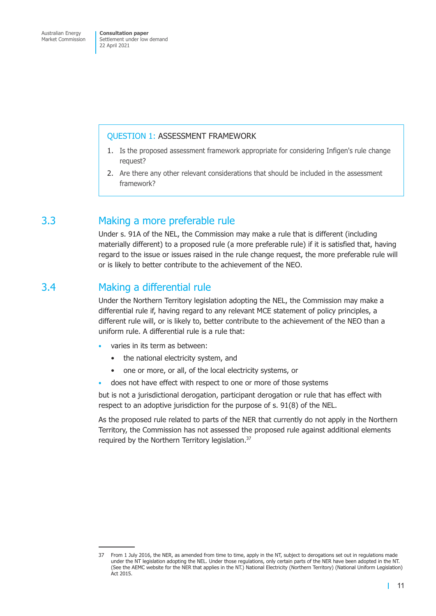#### <span id="page-14-0"></span>QUESTION 1: ASSESSMENT FRAMEWORK

- 1. Is the proposed assessment framework appropriate for considering Infigen's rule change request?
- 2. Are there any other relevant considerations that should be included in the assessment framework?

## 3.3 Making a more preferable rule

Under s. 91A of the NEL, the Commission may make a rule that is different (including materially different) to a proposed rule (a more preferable rule) if it is satisfied that, having regard to the issue or issues raised in the rule change request, the more preferable rule will or is likely to better contribute to the achievement of the NEO.

### 3.4 Making a differential rule

Under the Northern Territory legislation adopting the NEL, the Commission may make a differential rule if, having regard to any relevant MCE statement of policy principles, a different rule will, or is likely to, better contribute to the achievement of the NEO than a uniform rule. A differential rule is a rule that:

- varies in its term as between:
	- the national electricity system, and
	- one or more, or all, of the local electricity systems, or
- does not have effect with respect to one or more of those systems

but is not a jurisdictional derogation, participant derogation or rule that has effect with respect to an adoptive jurisdiction for the purpose of s. 91(8) of the NEL.

As the proposed rule related to parts of the NER that currently do not apply in the Northern Territory, the Commission has not assessed the proposed rule against additional elements required by the Northern Territory legislation.<sup>37</sup>

<sup>37</sup> From 1 July 2016, the NER, as amended from time to time, apply in the NT, subject to derogations set out in regulations made under the NT legislation adopting the NEL. Under those regulations, only certain parts of the NER have been adopted in the NT. (See the AEMC website for the NER that applies in the NT.) National Electricity (Northern Territory) (National Uniform Legislation) Act 2015.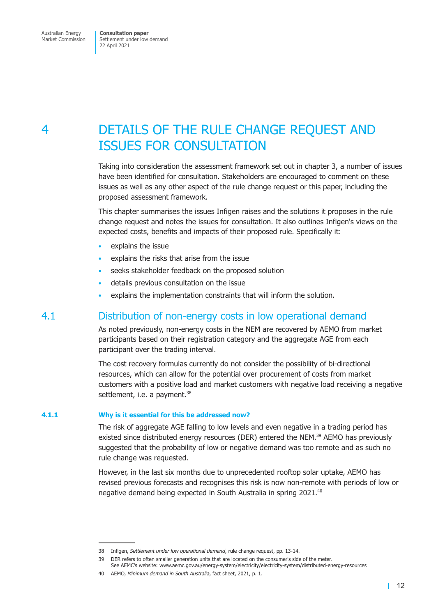## <span id="page-15-0"></span>4 DETAILS OF THE RULE CHANGE REQUEST AND ISSUES FOR CONSULTATION

Taking into consideration the assessment framework set out in [chapter 3,](#page-13-1) a number of issues have been identified for consultation. Stakeholders are encouraged to comment on these issues as well as any other aspect of the rule change request or this paper, including the proposed assessment framework.

This chapter summarises the issues Infigen raises and the solutions it proposes in the rule change request and notes the issues for consultation. It also outlines Infigen's views on the expected costs, benefits and impacts of their proposed rule. Specifically it:

- explains the issue
- explains the risks that arise from the issue
- seeks stakeholder feedback on the proposed solution
- details previous consultation on the issue
- explains the implementation constraints that will inform the solution.

### 4.1 Distribution of non-energy costs in low operational demand

As noted previously, non-energy costs in the NEM are recovered by AEMO from market participants based on their registration category and the aggregate AGE from each participant over the trading interval.

The cost recovery formulas currently do not consider the possibility of bi-directional resources, which can allow for the potential over procurement of costs from market customers with a positive load and market customers with negative load receiving a negative settlement, i.e. a payment.<sup>38</sup>

#### **4.1.1 Why is it essential for this be addressed now?**

The risk of aggregate AGE falling to low levels and even negative in a trading period has existed since distributed energy resources (DER) entered the NEM.<sup>39</sup> AEMO has previously suggested that the probability of low or negative demand was too remote and as such no rule change was requested.

However, in the last six months due to unprecedented rooftop solar uptake, AEMO has revised previous forecasts and recognises this risk is now non-remote with periods of low or negative demand being expected in South Australia in spring 2021.40

<sup>38</sup> Infigen, *Settlement under low operational demand*, rule change request, pp. 13-14.

<sup>39</sup> DER refers to often smaller generation units that are located on the consumer's side of the meter.

See AEMC's website: www.aemc.gov.au/energy-system/electricity/electricity-system/distributed-energy-resources

<sup>40</sup> AEMO, *Minimum demand in South Australia*, fact sheet, 2021, p. 1.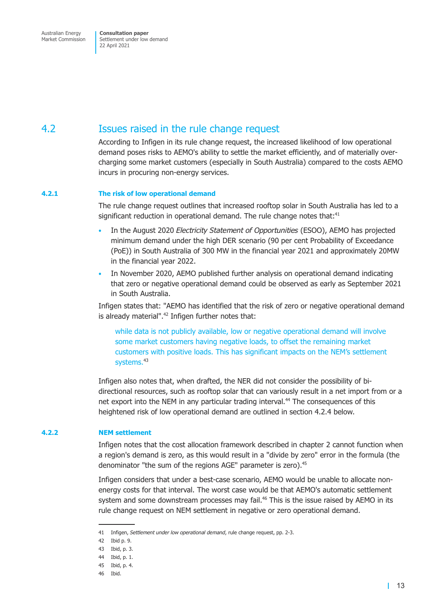<span id="page-16-0"></span>Australian Energy Market Commission **Consultation paper** Settlement under low demand 22 April 2021

## 4.2 Issues raised in the rule change request

<span id="page-16-2"></span>According to Infigen in its rule change request, the increased likelihood of low operational demand poses risks to AEMO's ability to settle the market efficiently, and of materially overcharging some market customers (especially in South Australia) compared to the costs AEMO incurs in procuring non-energy services.

#### **4.2.1 The risk of low operational demand**

The rule change request outlines that increased rooftop solar in South Australia has led to a significant reduction in operational demand. The rule change notes that: $41$ 

- In the August 2020 *Electricity Statement of Opportunities* (ESOO), AEMO has projected minimum demand under the high DER scenario (90 per cent Probability of Exceedance (PoE)) in South Australia of 300 MW in the financial year 2021 and approximately 20MW in the financial year 2022.
- In November 2020, AEMO published further analysis on operational demand indicating that zero or negative operational demand could be observed as early as September 2021 in South Australia.

Infigen states that: "AEMO has identified that the risk of zero or negative operational demand is already material".<sup>42</sup> Infigen further notes that:

<span id="page-16-1"></span>while data is not publicly available, low or negative operational demand will involve some market customers having negative loads, to offset the remaining market customers with positive loads. This has significant impacts on the NEM's settlement systems.<sup>43</sup>

Infigen also notes that, when drafted, the NER did not consider the possibility of bidirectional resources, such as rooftop solar that can variously result in a net import from or a net export into the NEM in any particular trading interval.<sup>44</sup> The consequences of this heightened risk of low operational demand are outlined in [section 4.2.4](#page-18-1) below.

#### **4.2.2 NEM settlement**

Infigen notes that the cost allocation framework described in chapter 2 cannot function when a region's demand is zero, as this would result in a "divide by zero" error in the formula (the denominator "the sum of the regions AGE" parameter is zero).<sup>45</sup>

Infigen considers that under a best-case scenario, AEMO would be unable to allocate nonenergy costs for that interval. The worst case would be that AEMO's automatic settlement system and some downstream processes may fail.<sup>46</sup> This is the issue raised by AEMO in its rule change request on NEM settlement in negative or zero operational demand.

<sup>41</sup> Infigen, *Settlement under low operational demand*, rule change request, pp. 2-3.

<sup>42</sup> Ibid p. 9.

<sup>43</sup> Ibid, p. 3.

<sup>44</sup> Ibid, p. 1.

<sup>45</sup> Ibid, p. 4.

<sup>46</sup> Ibid.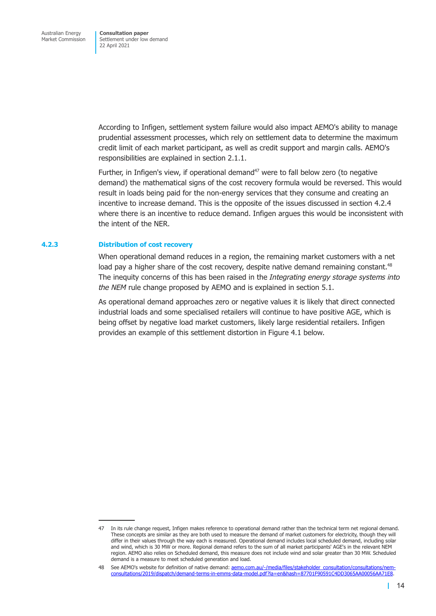According to Infigen, settlement system failure would also impact AEMO's ability to manage prudential assessment processes, which rely on settlement data to determine the maximum credit limit of each market participant, as well as credit support and margin calls. AEMO's responsibilities are explained in [section 2.1.1.](#page-9-1)

Further, in Infigen's view, if operational demand<sup>47</sup> were to fall below zero (to negative demand) the mathematical signs of the cost recovery formula would be reversed. This would result in loads being paid for the non-energy services that they consume and creating an incentive to increase demand. This is the opposite of the issues discussed in [section 4.2.4](#page-18-1) where there is an incentive to reduce demand. Infigen argues this would be inconsistent with the intent of the NER.

#### **4.2.3 Distribution of cost recovery**

<span id="page-17-0"></span>When operational demand reduces in a region, the remaining market customers with a net load pay a higher share of the cost recovery, despite native demand remaining constant.<sup>48</sup> The inequity concerns of this has been raised in the *Integrating energy storage systems into the NEM* rule change proposed by AEMO and is explained in [section 5.1.](#page-28-1)

As operational demand approaches zero or negative values it is likely that direct connected industrial loads and some specialised retailers will continue to have positive AGE, which is being offset by negative load market customers, likely large residential retailers. Infigen provides an example of this settlement distortion in [Figure 4.1](#page-18-2) below.

<sup>47</sup> In its rule change request, Infigen makes reference to operational demand rather than the technical term net regional demand. These concepts are similar as they are both used to measure the demand of market customers for electricity, though they will differ in their values through the way each is measured. Operational demand includes local scheduled demand, including solar and wind, which is 30 MW or more. Regional demand refers to the sum of all market participants' AGE's in the relevant NEM region. AEMO also relies on Scheduled demand, this measure does not include wind and solar greater than 30 MW. Scheduled demand is a measure to meet scheduled generation and load.

<sup>48</sup> See AFMO's website for definition of native demand: [aemo.com.au/-/media/files/stakeholder\\_consultation/consultations/nem](http://aemo.com.au/-/media/files/stakeholder_consultation/consultations/nem-consultations/2019/dispatch/demand-terms-in-emms-data-model.pdf?la=en&hash=87701F90591C4DD3065AA00056AA71E8)[consultations/2019/dispatch/demand-terms-in-emms-data-model.pdf?la=en&hash=87701F90591C4DD3065AA00056AA71E8.](http://aemo.com.au/-/media/files/stakeholder_consultation/consultations/nem-consultations/2019/dispatch/demand-terms-in-emms-data-model.pdf?la=en&hash=87701F90591C4DD3065AA00056AA71E8)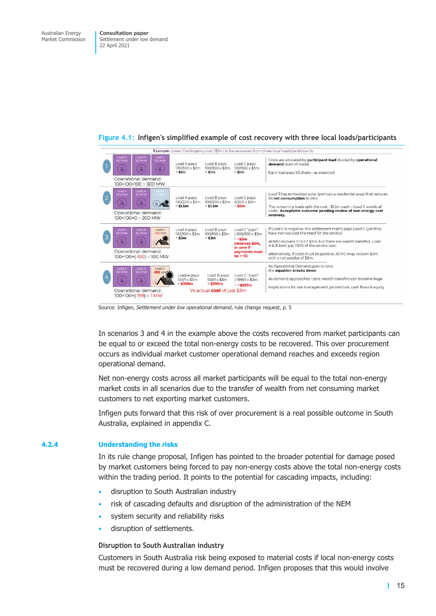<span id="page-18-2"></span>

#### <span id="page-18-0"></span>**Figure 4.1: Infigen's simplified example of cost recovery with three local loads/participants**

Source: Infigen, *Settlement under low operational demand*, rule change request, p. 5

In scenarios 3 and 4 in the example above the costs recovered from market participants can be equal to or exceed the total non-energy costs to be recovered. This over procurement occurs as individual market customer operational demand reaches and exceeds region operational demand.

Net non-energy costs across all market participants will be equal to the total non-energy market costs in all scenarios due to the transfer of wealth from net consuming market customers to net exporting market customers.

Infigen puts forward that this risk of over procurement is a real possible outcome in South Australia, explained in [appendix C.](#page-39-1)

#### **4.2.4 Understanding the risks**

<span id="page-18-1"></span>In its rule change proposal, Infigen has pointed to the broader potential for damage posed by market customers being forced to pay non-energy costs above the total non-energy costs within the trading period. It points to the potential for cascading impacts, including:

- disruption to South Australian industry
- risk of cascading defaults and disruption of the administration of the NEM
- system security and reliability risks
- disruption of settlements.

#### **Disruption to South Australian industry**

Customers in South Australia risk being exposed to material costs if local non-energy costs must be recovered during a low demand period. Infigen proposes that this would involve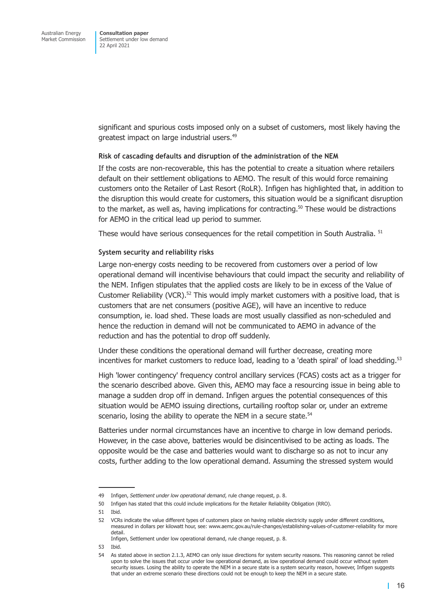significant and spurious costs imposed only on a subset of customers, most likely having the greatest impact on large industrial users.49

#### **Risk of cascading defaults and disruption of the administration of the NEM**

If the costs are non-recoverable, this has the potential to create a situation where retailers default on their settlement obligations to AEMO. The result of this would force remaining customers onto the Retailer of Last Resort (RoLR). Infigen has highlighted that, in addition to the disruption this would create for customers, this situation would be a significant disruption to the market, as well as, having implications for contracting.<sup>50</sup> These would be distractions for AEMO in the critical lead up period to summer.

These would have serious consequences for the retail competition in South Australia. <sup>51</sup>

#### **System security and reliability risks**

Large non-energy costs needing to be recovered from customers over a period of low operational demand will incentivise behaviours that could impact the security and reliability of the NEM. Infigen stipulates that the applied costs are likely to be in excess of the Value of Customer Reliability (VCR).<sup>52</sup> This would imply market customers with a positive load, that is customers that are net consumers (positive AGE), will have an incentive to reduce consumption, ie. load shed. These loads are most usually classified as non-scheduled and hence the reduction in demand will not be communicated to AEMO in advance of the reduction and has the potential to drop off suddenly.

Under these conditions the operational demand will further decrease, creating more incentives for market customers to reduce load, leading to a 'death spiral' of load shedding.<sup>53</sup>

High 'lower contingency' frequency control ancillary services (FCAS) costs act as a trigger for the scenario described above. Given this, AEMO may face a resourcing issue in being able to manage a sudden drop off in demand. Infigen argues the potential consequences of this situation would be AEMO issuing directions, curtailing rooftop solar or, under an extreme scenario, losing the ability to operate the NEM in a secure state.<sup>54</sup>

Batteries under normal circumstances have an incentive to charge in low demand periods. However, in the case above, batteries would be disincentivised to be acting as loads. The opposite would be the case and batteries would want to discharge so as not to incur any costs, further adding to the low operational demand. Assuming the stressed system would

53 Ibid.

<sup>49</sup> Infigen, *Settlement under low operational demand*, rule change request, p. 8.

<sup>50</sup> Infigen has stated that this could include implications for the Retailer Reliability Obligation (RRO).

<sup>51</sup> Ibid.

<sup>52</sup> VCRs indicate the value different types of customers place on having reliable electricity supply under different conditions, measured in dollars per kilowatt hour, see: www.aemc.gov.au/rule-changes/establishing-values-of-customer-reliability for more detail.

Infigen, Settlement under low operational demand, rule change request, p. 8.

<sup>54</sup> As stated above in [section 2.1.3,](#page-11-0) AEMO can only issue directions for system security reasons. This reasoning cannot be relied upon to solve the issues that occur under low operational demand, as low operational demand could occur without system security issues. Losing the ability to operate the NEM in a secure state is a system security reason, however, Infigen suggests that under an extreme scenario these directions could not be enough to keep the NEM in a secure state.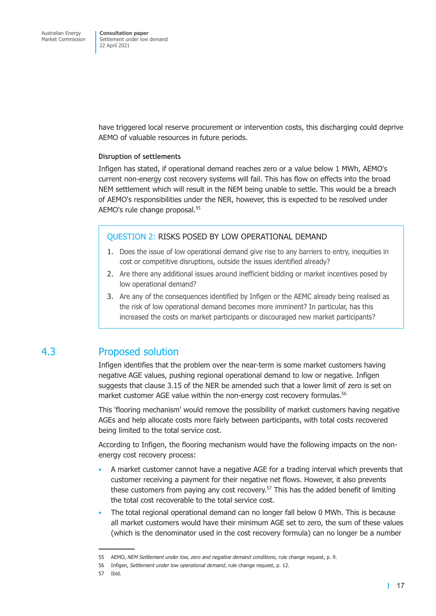<span id="page-20-0"></span>have triggered local reserve procurement or intervention costs, this discharging could deprive AEMO of valuable resources in future periods.

#### **Disruption of settlements**

Infigen has stated, if operational demand reaches zero or a value below 1 MWh, AEMO's current non-energy cost recovery systems will fail. This has flow on effects into the broad NEM settlement which will result in the NEM being unable to settle. This would be a breach of AEMO's responsibilities under the NER, however, this is expected to be resolved under AEMO's rule change proposal.55

#### QUESTION 2: RISKS POSED BY LOW OPERATIONAL DEMAND

- 1. Does the issue of low operational demand give rise to any barriers to entry, inequities in cost or competitive disruptions, outside the issues identified already?
- 2. Are there any additional issues around inefficient bidding or market incentives posed by low operational demand?
- 3. Are any of the consequences identified by Infigen or the AEMC already being realised as the risk of low operational demand becomes more imminent? In particular, has this increased the costs on market participants or discouraged new market participants?

### 4.3 Proposed solution

Infigen identifies that the problem over the near-term is some market customers having negative AGE values, pushing regional operational demand to low or negative. Infigen suggests that clause 3.15 of the NER be amended such that a lower limit of zero is set on market customer AGE value within the non-energy cost recovery formulas.<sup>56</sup>

This 'flooring mechanism' would remove the possibility of market customers having negative AGEs and help allocate costs more fairly between participants, with total costs recovered being limited to the total service cost.

According to Infigen, the flooring mechanism would have the following impacts on the nonenergy cost recovery process:

- A market customer cannot have a negative AGE for a trading interval which prevents that customer receiving a payment for their negative net flows. However, it also prevents these customers from paying any cost recovery.<sup>57</sup> This has the added benefit of limiting the total cost recoverable to the total service cost.
- The total regional operational demand can no longer fall below 0 MWh. This is because all market customers would have their minimum AGE set to zero, the sum of these values (which is the denominator used in the cost recovery formula) can no longer be a number

<sup>55</sup> AEMO, *NEM Settlement under low, zero and negative demand conditions*, rule change request, p. 9.

<sup>56</sup> Infigen, *Settlement under low operational demand*, rule change request, p. 12.

<sup>57</sup> Ibid.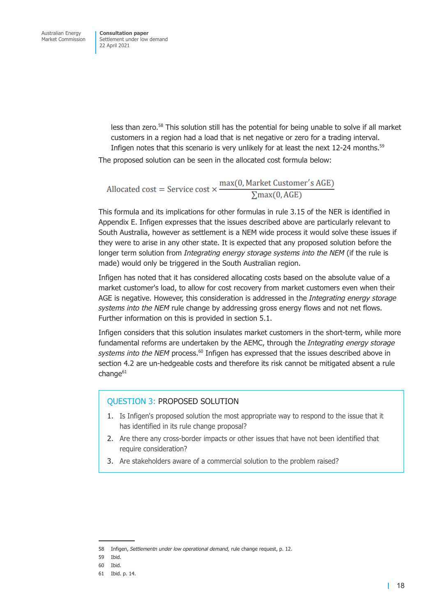less than zero.58 This solution still has the potential for being unable to solve if all market customers in a region had a load that is net negative or zero for a trading interval. Infigen notes that this scenario is very unlikely for at least the next 12-24 months.<sup>59</sup>

The proposed solution can be seen in the allocated cost formula below:

Allocated cost = Service cost  $\times \frac{\max(0, \text{Market Customer's AGE})}{\sum \max(0, \text{AGE})}$ 

This formula and its implications for other formulas in rule 3.15 of the NER is identified in Appendix E. Infigen expresses that the issues described above are particularly relevant to South Australia, however as settlement is a NEM wide process it would solve these issues if they were to arise in any other state. It is expected that any proposed solution before the longer term solution from *Integrating energy storage systems into the NEM* (if the rule is made) would only be triggered in the South Australian region.

Infigen has noted that it has considered allocating costs based on the absolute value of a market customer's load, to allow for cost recovery from market customers even when their AGE is negative. However, this consideration is addressed in the *Integrating energy storage systems into the NEM* rule change by addressing gross energy flows and not net flows. Further information on this is provided in [section 5.1.](#page-28-1)

Infigen considers that this solution insulates market customers in the short-term, while more fundamental reforms are undertaken by the AEMC, through the *Integrating energy storage* systems into the NEM process.<sup>60</sup> Infigen has expressed that the issues described above in [section 4.2](#page-16-2) are un-hedgeable costs and therefore its risk cannot be mitigated absent a rule  $chance<sup>61</sup>$ 

#### QUESTION 3: PROPOSED SOLUTION

- 1. Is Infigen's proposed solution the most appropriate way to respond to the issue that it has identified in its rule change proposal?
- 2. Are there any cross-border impacts or other issues that have not been identified that require consideration?
- 3. Are stakeholders aware of a commercial solution to the problem raised?

<sup>58</sup> Infigen, *Settlementn under low operational demand,* rule change request, p. 12.

<sup>59</sup> Ibid.

<sup>60</sup> Ibid.

<sup>61</sup> Ibid. p. 14.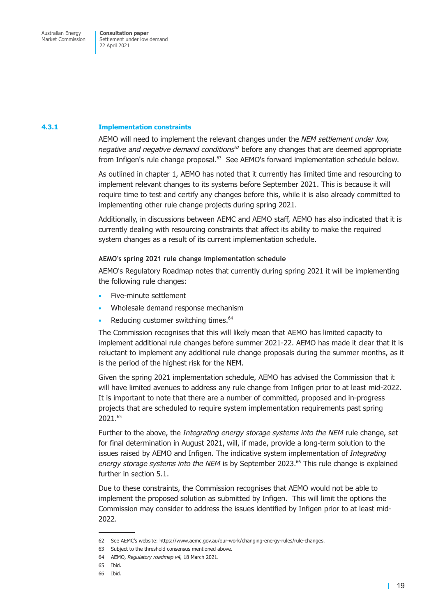#### **4.3.1 Implementation constraints**

<span id="page-22-0"></span>AEMO will need to implement the relevant changes under the *NEM settlement under low, negative and negative demand conditions*62 before any changes that are deemed appropriate from Infigen's rule change proposal.<sup>63</sup> See AEMO's forward implementation schedule below.

As outlined in chapter 1, AEMO has noted that it currently has limited time and resourcing to implement relevant changes to its systems before September 2021. This is because it will require time to test and certify any changes before this, while it is also already committed to implementing other rule change projects during spring 2021.

Additionally, in discussions between AEMC and AEMO staff, AEMO has also indicated that it is currently dealing with resourcing constraints that affect its ability to make the required system changes as a result of its current implementation schedule.

#### **AEMO's spring 2021 rule change implementation schedule**

AEMO's Regulatory Roadmap notes that currently during spring 2021 it will be implementing the following rule changes:

- Five-minute settlement
- Wholesale demand response mechanism
- Reducing customer switching times.<sup>64</sup>

The Commission recognises that this will likely mean that AEMO has limited capacity to implement additional rule changes before summer 2021-22. AEMO has made it clear that it is reluctant to implement any additional rule change proposals during the summer months, as it is the period of the highest risk for the NEM.

Given the spring 2021 implementation schedule, AEMO has advised the Commission that it will have limited avenues to address any rule change from Infigen prior to at least mid-2022. It is important to note that there are a number of committed, proposed and in-progress projects that are scheduled to require system implementation requirements past spring 2021.65

Further to the above, the *Integrating energy storage systems into the NEM* rule change, set for final determination in August 2021, will, if made, provide a long-term solution to the issues raised by AEMO and Infigen. The indicative system implementation of *Integrating* energy storage systems into the NEM is by September 2023.<sup>66</sup> This rule change is explained further in [section 5.1.](#page-28-1)

Due to these constraints, the Commission recognises that AEMO would not be able to implement the proposed solution as submitted by Infigen. This will limit the options the Commission may consider to address the issues identified by Infigen prior to at least mid-2022.

<sup>62</sup> See AEMC's website: https://www.aemc.gov.au/our-work/changing-energy-rules/rule-changes.

<sup>63</sup> Subject to the threshold consensus mentioned above.

<sup>64</sup> AEMO, *Regulatory roadmap v4,* 18 March 2021.

<sup>65</sup> Ibid.

<sup>66</sup> Ibid.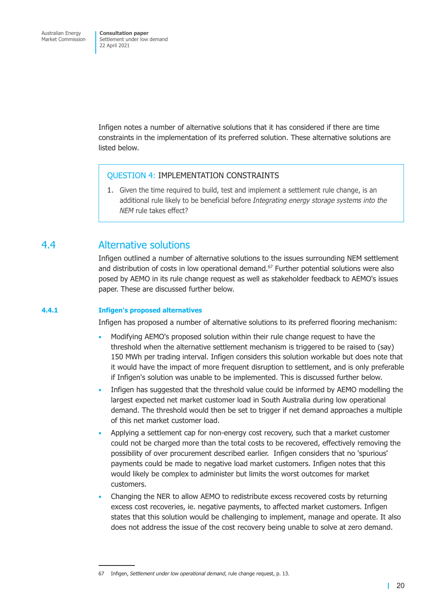<span id="page-23-0"></span>Infigen notes a number of alternative solutions that it has considered if there are time constraints in the implementation of its preferred solution. These alternative solutions are listed below.

#### QUESTION 4: IMPLEMENTATION CONSTRAINTS

<span id="page-23-1"></span>1. Given the time required to build, test and implement a settlement rule change, is an additional rule likely to be beneficial before *Integrating energy storage systems into the NEM* rule takes effect?

### 4.4 Alternative solutions

Infigen outlined a number of alternative solutions to the issues surrounding NEM settlement and distribution of costs in low operational demand.<sup>67</sup> Further potential solutions were also posed by AEMO in its rule change request as well as stakeholder feedback to AEMO's issues paper. These are discussed further below.

#### **4.4.1 Infigen's proposed alternatives**

Infigen has proposed a number of alternative solutions to its preferred flooring mechanism:

- Modifying AEMO's proposed solution within their rule change request to have the threshold when the alternative settlement mechanism is triggered to be raised to (say) 150 MWh per trading interval. Infigen considers this solution workable but does note that it would have the impact of more frequent disruption to settlement, and is only preferable if Infigen's solution was unable to be implemented. This is discussed further below.
- Infigen has suggested that the threshold value could be informed by AEMO modelling the largest expected net market customer load in South Australia during low operational demand. The threshold would then be set to trigger if net demand approaches a multiple of this net market customer load.
- Applying a settlement cap for non-energy cost recovery, such that a market customer could not be charged more than the total costs to be recovered, effectively removing the possibility of over procurement described earlier. Infigen considers that no 'spurious' payments could be made to negative load market customers. Infigen notes that this would likely be complex to administer but limits the worst outcomes for market customers.
- Changing the NER to allow AEMO to redistribute excess recovered costs by returning excess cost recoveries, ie. negative payments, to affected market customers. Infigen states that this solution would be challenging to implement, manage and operate. It also does not address the issue of the cost recovery being unable to solve at zero demand.

<sup>67</sup> Infigen, *Settlement under low operational demand*, rule change request, p. 13.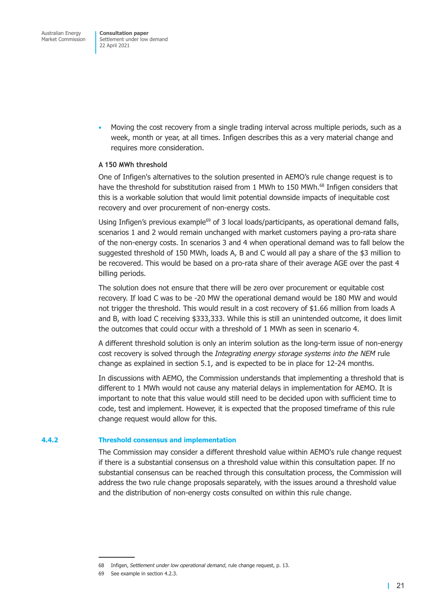• Moving the cost recovery from a single trading interval across multiple periods, such as a week, month or year, at all times. Infigen describes this as a very material change and requires more consideration.

#### **A 150 MWh threshold**

One of Infigen's alternatives to the solution presented in AEMO's rule change request is to have the threshold for substitution raised from 1 MWh to 150 MWh.<sup>68</sup> Infigen considers that this is a workable solution that would limit potential downside impacts of inequitable cost recovery and over procurement of non-energy costs.

Using Infigen's previous example<sup>69</sup> of 3 local loads/participants, as operational demand falls, scenarios 1 and 2 would remain unchanged with market customers paying a pro-rata share of the non-energy costs. In scenarios 3 and 4 when operational demand was to fall below the suggested threshold of 150 MWh, loads A, B and C would all pay a share of the \$3 million to be recovered. This would be based on a pro-rata share of their average AGE over the past 4 billing periods.

The solution does not ensure that there will be zero over procurement or equitable cost recovery. If load C was to be -20 MW the operational demand would be 180 MW and would not trigger the threshold. This would result in a cost recovery of \$1.66 million from loads A and B, with load C receiving \$333,333. While this is still an unintended outcome, it does limit the outcomes that could occur with a threshold of 1 MWh as seen in scenario 4.

A different threshold solution is only an interim solution as the long-term issue of non-energy cost recovery is solved through the *Integrating energy storage systems into the NEM* rule change as explained in [section 5.1,](#page-28-1) and is expected to be in place for 12-24 months.

In discussions with AEMO, the Commission understands that implementing a threshold that is different to 1 MWh would not cause any material delays in implementation for AEMO. It is important to note that this value would still need to be decided upon with sufficient time to code, test and implement. However, it is expected that the proposed timeframe of this rule change request would allow for this.

#### **4.4.2 Threshold consensus and implementation**

The Commission may consider a different threshold value within AEMO's rule change request if there is a substantial consensus on a threshold value within this consultation paper. If no substantial consensus can be reached through this consultation process, the Commission will address the two rule change proposals separately, with the issues around a threshold value and the distribution of non-energy costs consulted on within this rule change.

<sup>68</sup> Infigen, *Settlement under low operational demand*, rule change request, p. 13.

<sup>69</sup> See example in [section 4.2.3.](#page-17-0)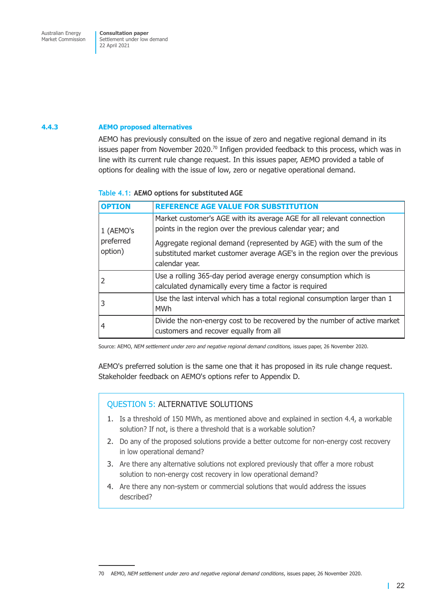#### <span id="page-25-0"></span>**4.4.3 AEMO proposed alternatives**

AEMO has previously consulted on the issue of zero and negative regional demand in its issues paper from November 2020.<sup>70</sup> Infigen provided feedback to this process, which was in line with its current rule change request. In this issues paper, AEMO provided a table of options for dealing with the issue of low, zero or negative operational demand.

#### **Table 4.1: AEMO options for substituted AGE**

| <b>OPTION</b>        | <b>REFERENCE AGE VALUE FOR SUBSTITUTION</b>                                                                                                                       |
|----------------------|-------------------------------------------------------------------------------------------------------------------------------------------------------------------|
| 1 (AEMO's            | Market customer's AGE with its average AGE for all relevant connection<br>points in the region over the previous calendar year; and                               |
| preferred<br>option) | Aggregate regional demand (represented by AGE) with the sum of the<br>substituted market customer average AGE's in the region over the previous<br>calendar year. |
|                      | Use a rolling 365-day period average energy consumption which is<br>calculated dynamically every time a factor is required                                        |
| 3                    | Use the last interval which has a total regional consumption larger than 1<br><b>MWh</b>                                                                          |
| 4                    | Divide the non-energy cost to be recovered by the number of active market<br>customers and recover equally from all                                               |

Source: AEMO, *NEM settlement under zero and negative regional demand conditions,* issues paper, 26 November 2020.

AEMO's preferred solution is the same one that it has proposed in its rule change request. Stakeholder feedback on AEMO's options refer to Appendix D.

#### QUESTION 5: ALTERNATIVE SOLUTIONS

- 1. Is a threshold of 150 MWh, as mentioned above and explained in [section 4.4,](#page-23-1) a workable solution? If not, is there a threshold that is a workable solution?
- 2. Do any of the proposed solutions provide a better outcome for non-energy cost recovery in low operational demand?
- 3. Are there any alternative solutions not explored previously that offer a more robust solution to non-energy cost recovery in low operational demand?
- 4. Are there any non-system or commercial solutions that would address the issues described?

<sup>70</sup> AEMO, *NEM settlement under zero and negative regional demand conditions*, issues paper, 26 November 2020.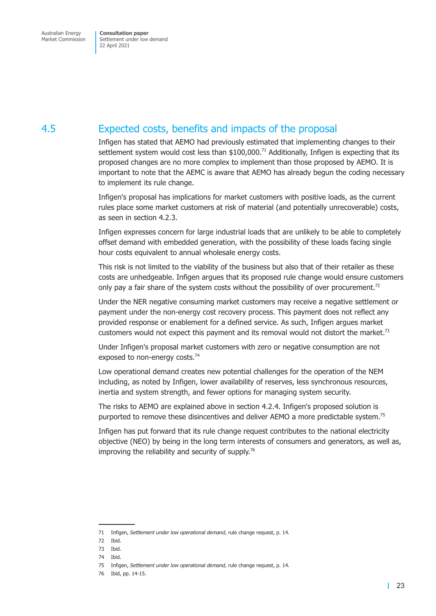## <span id="page-26-0"></span>4.5 Expected costs, benefits and impacts of the proposal

Infigen has stated that AEMO had previously estimated that implementing changes to their settlement system would cost less than  $$100,000.<sup>71</sup>$  Additionally, Infigen is expecting that its proposed changes are no more complex to implement than those proposed by AEMO. It is important to note that the AEMC is aware that AEMO has already begun the coding necessary to implement its rule change.

Infigen's proposal has implications for market customers with positive loads, as the current rules place some market customers at risk of material (and potentially unrecoverable) costs, as seen in [section 4.2.3.](#page-17-0)

Infigen expresses concern for large industrial loads that are unlikely to be able to completely offset demand with embedded generation, with the possibility of these loads facing single hour costs equivalent to annual wholesale energy costs.

This risk is not limited to the viability of the business but also that of their retailer as these costs are unhedgeable. Infigen argues that its proposed rule change would ensure customers only pay a fair share of the system costs without the possibility of over procurement.<sup>72</sup>

Under the NER negative consuming market customers may receive a negative settlement or payment under the non-energy cost recovery process. This payment does not reflect any provided response or enablement for a defined service. As such, Infigen argues market customers would not expect this payment and its removal would not distort the market.<sup>73</sup>

Under Infigen's proposal market customers with zero or negative consumption are not exposed to non-energy costs.<sup>74</sup>

Low operational demand creates new potential challenges for the operation of the NEM including, as noted by Infigen, lower availability of reserves, less synchronous resources, inertia and system strength, and fewer options for managing system security.

The risks to AEMO are explained above in [section 4.2.4.](#page-18-1) Infigen's proposed solution is purported to remove these disincentives and deliver AEMO a more predictable system.<sup>75</sup>

Infigen has put forward that its rule change request contributes to the national electricity objective (NEO) by being in the long term interests of consumers and generators, as well as, improving the reliability and security of supply.<sup>76</sup>

<sup>71</sup> Infigen, *Settlement under low operational demand*, rule change request, p. 14.

<sup>72</sup> Ibid.

<sup>73</sup> Ibid.

<sup>74</sup> Ibid.

<sup>75</sup> Infigen, *Settlement under low operational demand,* rule change request, p. 14.

<sup>76</sup> Ibid, pp. 14-15.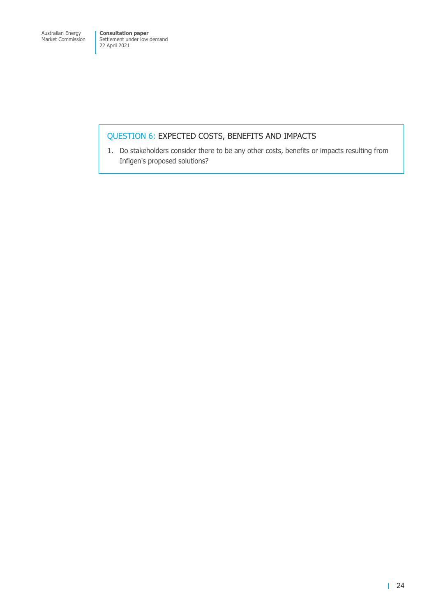### QUESTION 6: EXPECTED COSTS, BENEFITS AND IMPACTS

1. Do stakeholders consider there to be any other costs, benefits or impacts resulting from Infigen's proposed solutions?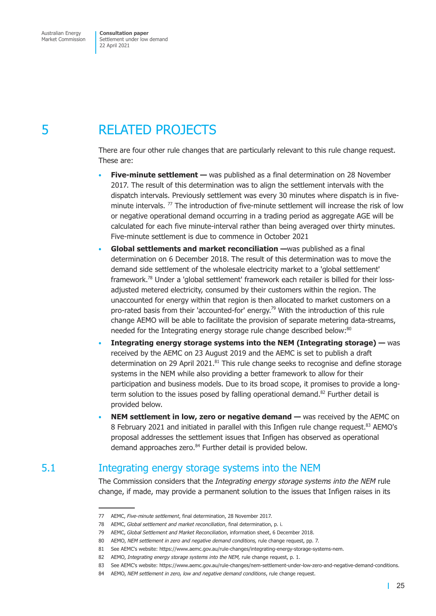## <span id="page-28-0"></span>5 RELATED PROJECTS

There are four other rule changes that are particularly relevant to this rule change request. These are:

- **Five-minute settlement** was published as a final determination on 28 November 2017. The result of this determination was to align the settlement intervals with the dispatch intervals. Previously settlement was every 30 minutes where dispatch is in fiveminute intervals.  $77$  The introduction of five-minute settlement will increase the risk of low or negative operational demand occurring in a trading period as aggregate AGE will be calculated for each five minute-interval rather than being averaged over thirty minutes. Five-minute settlement is due to commence in October 2021
- **Global settlements and market reconciliation —**was published as a final determination on 6 December 2018. The result of this determination was to move the demand side settlement of the wholesale electricity market to a 'global settlement' framework.78 Under a 'global settlement' framework each retailer is billed for their lossadjusted metered electricity, consumed by their customers within the region. The unaccounted for energy within that region is then allocated to market customers on a pro-rated basis from their 'accounted-for' energy.79 With the introduction of this rule change AEMO will be able to facilitate the provision of separate metering data-streams, needed for the Integrating energy storage rule change described below:<sup>80</sup>
- **Integrating energy storage systems into the NEM (Integrating storage) —** was received by the AEMC on 23 August 2019 and the AEMC is set to publish a draft determination on 29 April 2021. $81$  This rule change seeks to recognise and define storage systems in the NEM while also providing a better framework to allow for their participation and business models. Due to its broad scope, it promises to provide a longterm solution to the issues posed by falling operational demand.<sup>82</sup> Further detail is provided below.
- **NEM settlement in low, zero or negative demand —** was received by the AEMC on 8 February 2021 and initiated in parallel with this Infigen rule change request.<sup>83</sup> AEMO's proposal addresses the settlement issues that Infigen has observed as operational demand approaches zero.<sup>84</sup> Further detail is provided below.

## 5.1 Integrating energy storage systems into the NEM

<span id="page-28-1"></span>The Commission considers that the *Integrating energy storage systems into the NEM* rule change, if made, may provide a permanent solution to the issues that Infigen raises in its

<sup>77</sup> AEMC, *Five-minute settlement*, final determination, 28 November 2017.

<sup>78</sup> AEMC, *Global settlement and market reconciliation*, final determination, p. i.

<sup>79</sup> AEMC, *Global Settlement and Market Reconciliation*, information sheet, 6 December 2018.

<sup>80</sup> AEMO, *NEM settlement in zero and negative demand conditions,* rule change request, pp. 7.

<sup>81</sup> See AEMC's website: https://www.aemc.gov.au/rule-changes/integrating-energy-storage-systems-nem.

<sup>82</sup> AEMO, *Integrating energy storage systems into the NEM,* rule change request, p. 1.

<sup>83</sup> See AEMC's website: https://www.aemc.gov.au/rule-changes/nem-settlement-under-low-zero-and-negative-demand-conditions.

<sup>84</sup> AEMO, *NEM settlement in zero, low and negative demand conditions*, rule change request.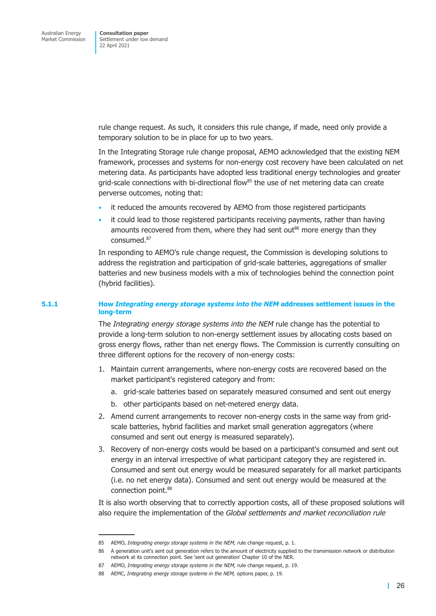rule change request. As such, it considers this rule change, if made, need only provide a temporary solution to be in place for up to two years.

In the Integrating Storage rule change proposal, AEMO acknowledged that the existing NEM framework, processes and systems for non-energy cost recovery have been calculated on net metering data. As participants have adopted less traditional energy technologies and greater grid-scale connections with bi-directional flow $^{85}$  the use of net metering data can create perverse outcomes, noting that:

- it reduced the amounts recovered by AEMO from those registered participants
- it could lead to those registered participants receiving payments, rather than having amounts recovered from them, where they had sent out<sup>86</sup> more energy than they consumed.87

In responding to AEMO's rule change request, the Commission is developing solutions to address the registration and participation of grid-scale batteries, aggregations of smaller batteries and new business models with a mix of technologies behind the connection point (hybrid facilities).

#### **5.1.1 How** *Integrating energy storage systems into the NEM* **addresses settlement issues in the long-term**

The *Integrating energy storage systems into the NEM* rule change has the potential to provide a long-term solution to non-energy settlement issues by allocating costs based on gross energy flows, rather than net energy flows. The Commission is currently consulting on three different options for the recovery of non-energy costs:

- 1. Maintain current arrangements, where non-energy costs are recovered based on the market participant's registered category and from:
	- a. grid-scale batteries based on separately measured consumed and sent out energy
	- b. other participants based on net-metered energy data.
- 2. Amend current arrangements to recover non-energy costs in the same way from gridscale batteries, hybrid facilities and market small generation aggregators (where consumed and sent out energy is measured separately).
- 3. Recovery of non-energy costs would be based on a participant's consumed and sent out energy in an interval irrespective of what participant category they are registered in. Consumed and sent out energy would be measured separately for all market participants (i.e. no net energy data). Consumed and sent out energy would be measured at the connection point.<sup>88</sup>

It is also worth observing that to correctly apportion costs, all of these proposed solutions will also require the implementation of the *Global settlements and market reconciliation rule*

<sup>85</sup> AEMO, *Integrating energy storage systems in the NEM, r*ule change request, p. 1.

<sup>86</sup> A generation unit's sent out generation refers to the amount of electricity supplied to the transmission network or distribution network at its connection point. See 'sent out generation' Chapter 10 of the NER.

<sup>87</sup> AEMO, *Integrating energy storage systems in the NEM,* rule change request, p. 19.

<sup>88</sup> AEMC, *Integrating energy storage systems in the NEM,* options paper, p. 19.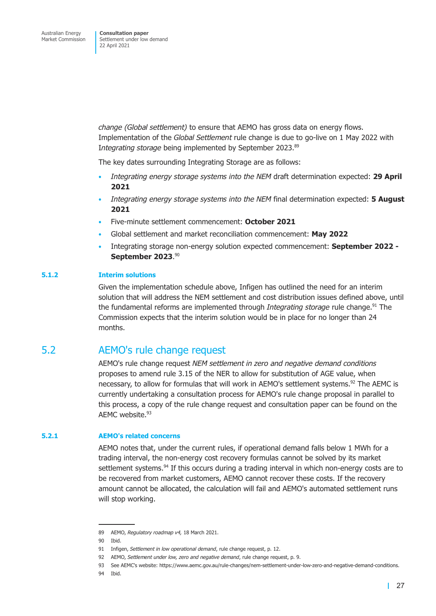<span id="page-30-0"></span>*change (Global settlement)* to ensure that AEMO has gross data on energy flows. Implementation of the *Global Settlement* rule change is due to go-live on 1 May 2022 with Integrating storage being implemented by September 2023.<sup>89</sup>

The key dates surrounding Integrating Storage are as follows:

- *Integrating energy storage systems into the NEM* draft determination expected: **29 April 2021**
- *Integrating energy storage systems into the NEM* final determination expected: **5 August 2021**
- Five-minute settlement commencement: **October 2021**
- Global settlement and market reconciliation commencement: **May 2022**
- Integrating storage non-energy solution expected commencement: **September 2022 - September 2023**. 90

#### **5.1.2 Interim solutions**

Given the implementation schedule above, Infigen has outlined the need for an interim solution that will address the NEM settlement and cost distribution issues defined above, until the fundamental reforms are implemented through *Integrating storage* rule change.<sup>91</sup> The Commission expects that the interim solution would be in place for no longer than 24 months.

### 5.2 AEMO's rule change request

AEMO's rule change request *NEM settlement in zero and negative demand conditions* proposes to amend rule 3.15 of the NER to allow for substitution of AGE value, when necessary, to allow for formulas that will work in AEMO's settlement systems.<sup>92</sup> The AEMC is currently undertaking a consultation process for AEMO's rule change proposal in parallel to this process, a copy of the rule change request and consultation paper can be found on the AEMC website.93

#### **5.2.1 AEMO's related concerns**

AEMO notes that, under the current rules, if operational demand falls below 1 MWh for a trading interval, the non-energy cost recovery formulas cannot be solved by its market settlement systems.<sup>94</sup> If this occurs during a trading interval in which non-energy costs are to be recovered from market customers, AEMO cannot recover these costs. If the recovery amount cannot be allocated, the calculation will fail and AEMO's automated settlement runs will stop working.

<sup>89</sup> AEMO, *Regulatory roadmap v4,* 18 March 2021.

<sup>90</sup> Ibid.

<sup>91</sup> Infigen, *Settlement in low operational demand*, rule change request, p. 12.

<sup>92</sup> AEMO, *Settlement under low, zero and negative demand*, rule change request, p. 9.

<sup>93</sup> See AEMC's website: https://www.aemc.gov.au/rule-changes/nem-settlement-under-low-zero-and-negative-demand-conditions.

<sup>94</sup> Ibid.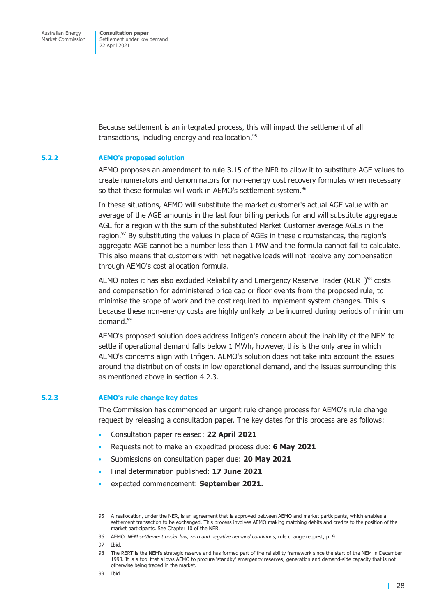Because settlement is an integrated process, this will impact the settlement of all transactions, including energy and reallocation.<sup>95</sup>

#### **5.2.2 AEMO's proposed solution**

AEMO proposes an amendment to rule 3.15 of the NER to allow it to substitute AGE values to create numerators and denominators for non-energy cost recovery formulas when necessary so that these formulas will work in AEMO's settlement system.<sup>96</sup>

In these situations, AEMO will substitute the market customer's actual AGE value with an average of the AGE amounts in the last four billing periods for and will substitute aggregate AGE for a region with the sum of the substituted Market Customer average AGEs in the region.<sup>97</sup> By substituting the values in place of AGEs in these circumstances, the region's aggregate AGE cannot be a number less than 1 MW and the formula cannot fail to calculate. This also means that customers with net negative loads will not receive any compensation through AEMO's cost allocation formula.

AEMO notes it has also excluded Reliability and Emergency Reserve Trader (RERT)<sup>98</sup> costs and compensation for administered price cap or floor events from the proposed rule, to minimise the scope of work and the cost required to implement system changes. This is because these non-energy costs are highly unlikely to be incurred during periods of minimum demand.<sup>99</sup>

AEMO's proposed solution does address Infigen's concern about the inability of the NEM to settle if operational demand falls below 1 MWh, however, this is the only area in which AEMO's concerns align with Infigen. AEMO's solution does not take into account the issues around the distribution of costs in low operational demand, and the issues surrounding this as mentioned above in [section 4.2.3.](#page-17-0)

#### **5.2.3 AEMO's rule change key dates**

The Commission has commenced an urgent rule change process for AEMO's rule change request by releasing a consultation paper. The key dates for this process are as follows:

- Consultation paper released: **22 April 2021**
- Requests not to make an expedited process due: **6 May 2021**
- Submissions on consultation paper due: **20 May 2021**
- Final determination published: **17 June 2021**
- expected commencement: **September 2021.**

<sup>95</sup> A reallocation, under the NER, is an agreement that is approved between AEMO and market participants, which enables a settlement transaction to be exchanged. This process involves AEMO making matching debits and credits to the position of the market participants. See Chapter 10 of the NER.

<sup>96</sup> AEMO, *NEM settlement under low, zero and negative demand conditions*, rule change request, p. 9.

<sup>97</sup> Ibid.

<sup>98</sup> The RERT is the NEM's strategic reserve and has formed part of the reliability framework since the start of the NEM in December 1998. It is a tool that allows AEMO to procure 'standby' emergency reserves; generation and demand-side capacity that is not otherwise being traded in the market.

<sup>99</sup> Ibid.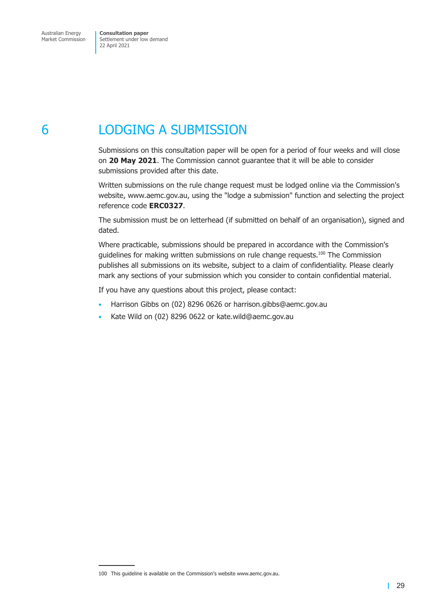# <span id="page-32-0"></span>6 LODGING A SUBMISSION

Submissions on this consultation paper will be open for a period of four weeks and will close on **20 May 2021**. The Commission cannot guarantee that it will be able to consider submissions provided after this date.

Written submissions on the rule change request must be lodged online via the Commission's website, www.aemc.gov.au, using the "lodge a submission" function and selecting the project reference code **ERC0327**.

The submission must be on letterhead (if submitted on behalf of an organisation), signed and dated.

Where practicable, submissions should be prepared in accordance with the Commission's guidelines for making written submissions on rule change requests.<sup>100</sup> The Commission publishes all submissions on its website, subject to a claim of confidentiality. Please clearly mark any sections of your submission which you consider to contain confidential material.

If you have any questions about this project, please contact:

- Harrison Gibbs on (02) 8296 0626 or harrison.gibbs@aemc.gov.au
- Kate Wild on (02) 8296 0622 or kate.wild@aemc.gov.au

<sup>100</sup> This guideline is available on the Commission's website www.aemc.gov.au.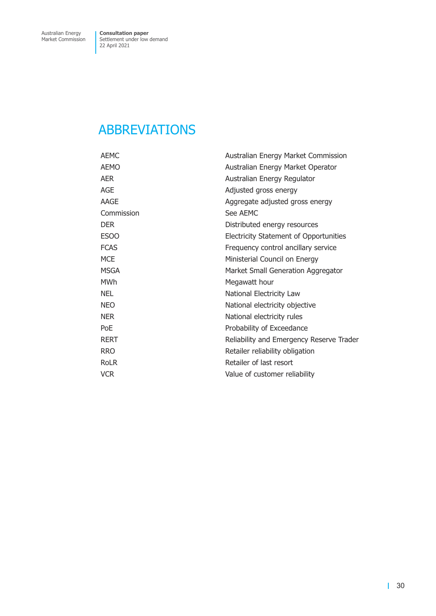## <span id="page-33-0"></span>ABBREVIATIONS

| <b>AEMC</b> | Australian Energy Market Commission      |
|-------------|------------------------------------------|
| <b>AEMO</b> | Australian Energy Market Operator        |
| <b>AER</b>  | Australian Energy Regulator              |
| AGE         | Adjusted gross energy                    |
| AAGE        | Aggregate adjusted gross energy          |
| Commission  | See AEMC                                 |
| <b>DER</b>  | Distributed energy resources             |
| ESOO        | Electricity Statement of Opportunities   |
| <b>FCAS</b> | Frequency control ancillary service      |
| <b>MCE</b>  | Ministerial Council on Energy            |
| <b>MSGA</b> | Market Small Generation Aggregator       |
| <b>MWh</b>  | Megawatt hour                            |
| <b>NEL</b>  | National Electricity Law                 |
| <b>NEO</b>  | National electricity objective           |
| <b>NER</b>  | National electricity rules               |
| PoE         | Probability of Exceedance                |
| <b>RERT</b> | Reliability and Emergency Reserve Trader |
| <b>RRO</b>  | Retailer reliability obligation          |
| <b>RoLR</b> | Retailer of last resort                  |
| <b>VCR</b>  | Value of customer reliability            |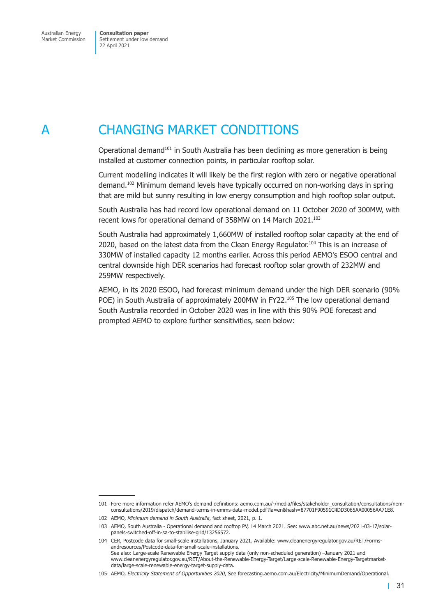## <span id="page-34-0"></span>A CHANGING MARKET CONDITIONS

Operational demand<sup>101</sup> in South Australia has been declining as more generation is being installed at customer connection points, in particular rooftop solar.

Current modelling indicates it will likely be the first region with zero or negative operational demand.<sup>102</sup> Minimum demand levels have typically occurred on non-working days in spring that are mild but sunny resulting in low energy consumption and high rooftop solar output.

South Australia has had record low operational demand on 11 October 2020 of 300MW, with recent lows for operational demand of 358MW on 14 March 2021.<sup>103</sup>

South Australia had approximately 1,660MW of installed rooftop solar capacity at the end of 2020, based on the latest data from the Clean Energy Regulator.<sup>104</sup> This is an increase of 330MW of installed capacity 12 months earlier. Across this period AEMO's ESOO central and central downside high DER scenarios had forecast rooftop solar growth of 232MW and 259MW respectively.

AEMO, in its 2020 ESOO, had forecast minimum demand under the high DER scenario (90% POE) in South Australia of approximately 200MW in FY22.<sup>105</sup> The low operational demand South Australia recorded in October 2020 was in line with this 90% POE forecast and prompted AEMO to explore further sensitivities, seen below:

<sup>101</sup> Fore more information refer AEMO's demand definitions: aemo.com.au/-/media/files/stakeholder\_consultation/consultations/nemconsultations/2019/dispatch/demand-terms-in-emms-data-model.pdf?la=en&hash=87701F90591C4DD3065AA00056AA71E8.

<sup>102</sup> AEMO, *Minimum demand in South Australia*, fact sheet, 2021, p. 1.

<sup>103</sup> AEMO, South Australia - Operational demand and rooftop PV, 14 March 2021. See: www.abc.net.au/news/2021-03-17/solarpanels-switched-off-in-sa-to-stabilise-grid/13256572.

<sup>104</sup> CER, Postcode data for small-scale installations, January 2021. Available: www.cleanenergyregulator.gov.au/RET/Formsandresources/Postcode-data-for-small-scale-installations. See also: Large-scale Renewable Energy Target supply data (only non-scheduled generation) –January 2021 and www.cleanenergyregulator.gov.au/RET/About-the-Renewable-Energy-Target/Large-scale-Renewable-Energy-Targetmarketdata/large-scale-renewable-energy-target-supply-data.

<sup>105</sup> AEMO, *Electricity Statement of Opportunities 2020*, See forecasting.aemo.com.au/Electricity/MinimumDemand/Operational.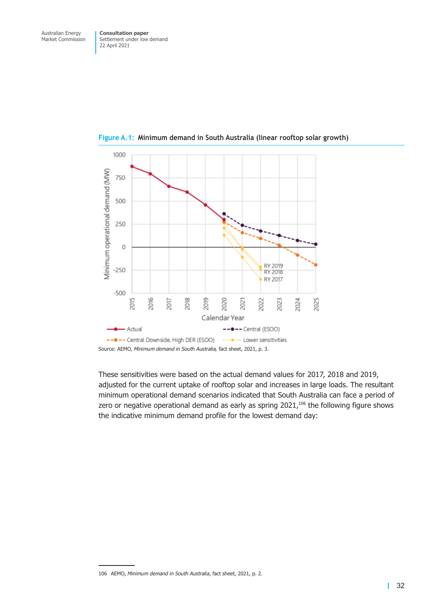

<span id="page-35-0"></span>**Figure A.1: Minimum demand in South Australia (linear rooftop solar growth)**

These sensitivities were based on the actual demand values for 2017, 2018 and 2019, adjusted for the current uptake of rooftop solar and increases in large loads. The resultant minimum operational demand scenarios indicated that South Australia can face a period of zero or negative operational demand as early as spring  $2021$ ,<sup>106</sup> the following figure shows the indicative minimum demand profile for the lowest demand day:

<sup>106</sup> AEMO, *Minimum demand in South Australia*, fact sheet, 2021, p. 2.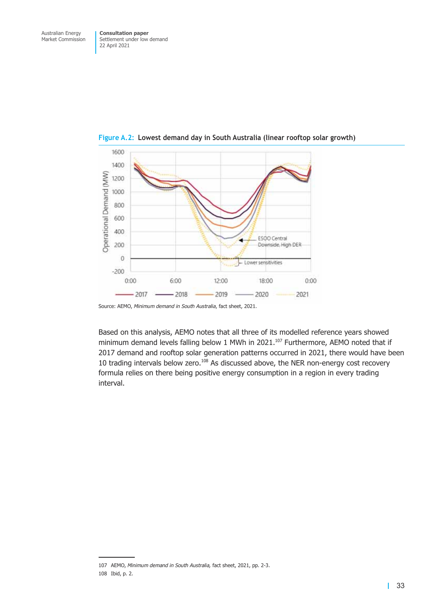

<span id="page-36-0"></span>**Figure A.2: Lowest demand day in South Australia (linear rooftop solar growth)**

Based on this analysis, AEMO notes that all three of its modelled reference years showed minimum demand levels falling below 1 MWh in 2021.<sup>107</sup> Furthermore, AEMO noted that if 2017 demand and rooftop solar generation patterns occurred in 2021, there would have been 10 trading intervals below zero.<sup>108</sup> As discussed above, the NER non-energy cost recovery formula relies on there being positive energy consumption in a region in every trading interval.

Source: AEMO, *Minimum demand in South Australia*, fact sheet, 2021.

<sup>107</sup> AEMO, *Minimum demand in South Australia,* fact sheet, 2021, pp. 2-3.

<sup>108</sup> Ibid, p. 2.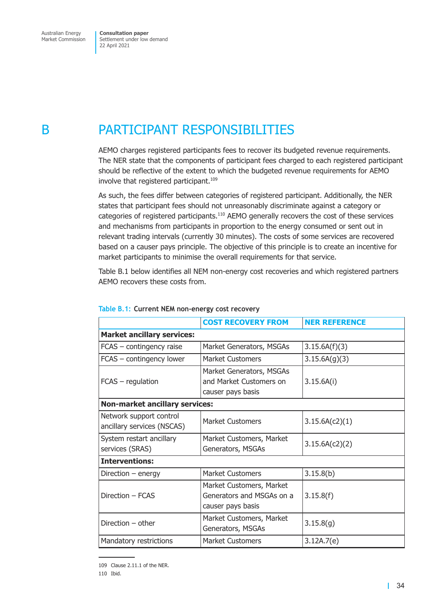## <span id="page-37-0"></span>B PARTICIPANT RESPONSIBILITIES

AEMO charges registered participants fees to recover its budgeted revenue requirements. The NER state that the components of participant fees charged to each registered participant should be reflective of the extent to which the budgeted revenue requirements for AEMO involve that registered participant.<sup>109</sup>

As such, the fees differ between categories of registered participant. Additionally, the NER states that participant fees should not unreasonably discriminate against a category or categories of registered participants.<sup>110</sup> AEMO generally recovers the cost of these services and mechanisms from participants in proportion to the energy consumed or sent out in relevant trading intervals (currently 30 minutes). The costs of some services are recovered based on a causer pays principle. The objective of this principle is to create an incentive for market participants to minimise the overall requirements for that service.

<span id="page-37-1"></span>[Table B.1](#page-37-1) below identifies all NEM non-energy cost recoveries and which registered partners AEMO recovers these costs from.

|                                                       | <b>COST RECOVERY FROM</b>                                                  | <b>NER REFERENCE</b> |  |  |
|-------------------------------------------------------|----------------------------------------------------------------------------|----------------------|--|--|
| <b>Market ancillary services:</b>                     |                                                                            |                      |  |  |
| FCAS - contingency raise                              | Market Generators, MSGAs                                                   | 3.15.6A(f)(3)        |  |  |
| FCAS - contingency lower                              | Market Customers                                                           | 3.15.6A(g)(3)        |  |  |
| FCAS - regulation                                     | Market Generators, MSGAs<br>and Market Customers on<br>causer pays basis   | 3.15.6A(i)           |  |  |
| <b>Non-market ancillary services:</b>                 |                                                                            |                      |  |  |
| Network support control<br>ancillary services (NSCAS) | Market Customers                                                           | 3.15.6A(c2)(1)       |  |  |
| System restart ancillary<br>services (SRAS)           | Market Customers, Market<br>Generators, MSGAs                              | 3.15.6A(c2)(2)       |  |  |
| <b>Interventions:</b>                                 |                                                                            |                      |  |  |
| Direction $-$ energy                                  | <b>Market Customers</b>                                                    | 3.15.8(b)            |  |  |
| Direction - FCAS                                      | Market Customers, Market<br>Generators and MSGAs on a<br>causer pays basis | 3.15.8(f)            |  |  |
| Direction $-$ other                                   | Market Customers, Market<br>Generators, MSGAs                              | 3.15.8(g)            |  |  |
| Mandatory restrictions                                | <b>Market Customers</b>                                                    | 3.12A.7(e)           |  |  |

#### **Table B.1: Current NEM non-energy cost recovery**

<sup>109</sup> Clause 2.11.1 of the NER.

<sup>110</sup> Ibid.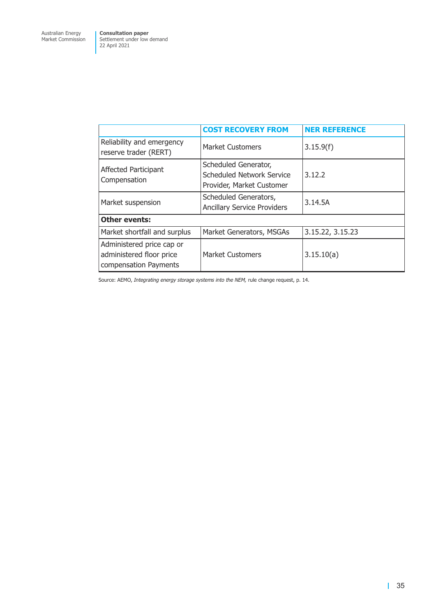|                                                                                | <b>COST RECOVERY FROM</b>                                                      | <b>NER REFERENCE</b> |  |
|--------------------------------------------------------------------------------|--------------------------------------------------------------------------------|----------------------|--|
| Reliability and emergency<br>reserve trader (RERT)                             | <b>Market Customers</b>                                                        | 3.15.9(f)            |  |
| Affected Participant<br>Compensation                                           | Scheduled Generator,<br>Scheduled Network Service<br>Provider, Market Customer | 3.12.2               |  |
| Market suspension                                                              | Scheduled Generators,<br><b>Ancillary Service Providers</b>                    | 3.14.5A              |  |
| <b>Other events:</b>                                                           |                                                                                |                      |  |
| Market shortfall and surplus                                                   | Market Generators, MSGAs                                                       | 3.15.22, 3.15.23     |  |
| Administered price cap or<br>administered floor price<br>compensation Payments | <b>Market Customers</b>                                                        | 3.15.10(a)           |  |

Source: AEMO, *Integrating energy storage systems into the NEM,* rule change request, p. 14.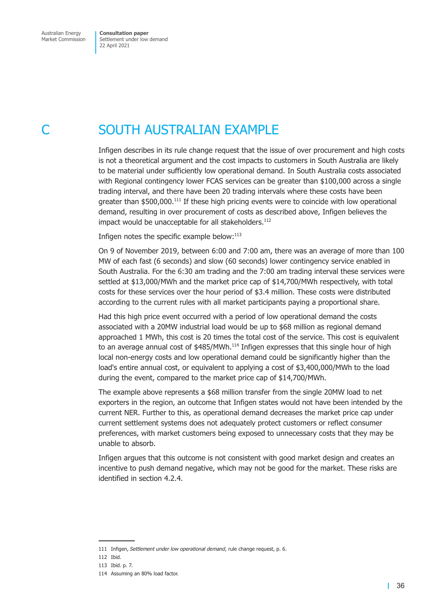<span id="page-39-0"></span>

## <span id="page-39-1"></span>**SOUTH AUSTRALIAN EXAMPLE**

Infigen describes in its rule change request that the issue of over procurement and high costs is not a theoretical argument and the cost impacts to customers in South Australia are likely to be material under sufficiently low operational demand. In South Australia costs associated with Regional contingency lower FCAS services can be greater than \$100,000 across a single trading interval, and there have been 20 trading intervals where these costs have been greater than  $$500,000$ .<sup>111</sup> If these high pricing events were to coincide with low operational demand, resulting in over procurement of costs as described above, Infigen believes the impact would be unacceptable for all stakeholders.<sup>112</sup>

Infigen notes the specific example below: $113$ 

On 9 of November 2019, between 6:00 and 7:00 am, there was an average of more than 100 MW of each fast (6 seconds) and slow (60 seconds) lower contingency service enabled in South Australia. For the 6:30 am trading and the 7:00 am trading interval these services were settled at \$13,000/MWh and the market price cap of \$14,700/MWh respectively, with total costs for these services over the hour period of \$3.4 million. These costs were distributed according to the current rules with all market participants paying a proportional share.

Had this high price event occurred with a period of low operational demand the costs associated with a 20MW industrial load would be up to \$68 million as regional demand approached 1 MWh, this cost is 20 times the total cost of the service. This cost is equivalent to an average annual cost of  $$485/MWh.<sup>114</sup>$  Infigen expresses that this single hour of high local non-energy costs and low operational demand could be significantly higher than the load's entire annual cost, or equivalent to applying a cost of \$3,400,000/MWh to the load during the event, compared to the market price cap of \$14,700/MWh.

The example above represents a \$68 million transfer from the single 20MW load to net exporters in the region, an outcome that Infigen states would not have been intended by the current NER. Further to this, as operational demand decreases the market price cap under current settlement systems does not adequately protect customers or reflect consumer preferences, with market customers being exposed to unnecessary costs that they may be unable to absorb.

Infigen argues that this outcome is not consistent with good market design and creates an incentive to push demand negative, which may not be good for the market. These risks are identified in [section 4.2.4.](#page-18-1)

<sup>111</sup> Infigen, *Settlement under low operational demand*, rule change request, p. 6.

<sup>112</sup> Ibid.

<sup>113</sup> Ibid. p. 7.

<sup>114</sup> Assuming an 80% load factor.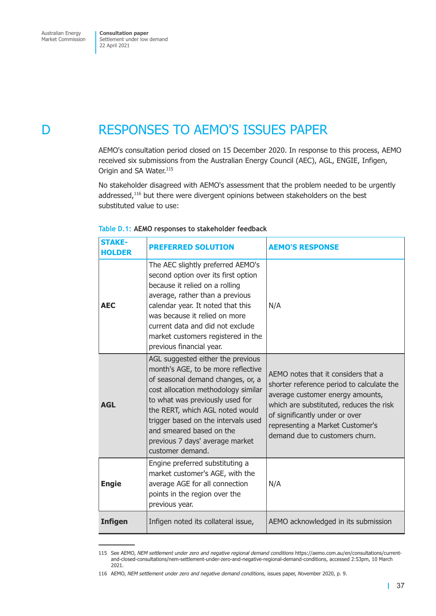## <span id="page-40-0"></span>D RESPONSES TO AEMO'S ISSUES PAPER

AEMO's consultation period closed on 15 December 2020. In response to this process, AEMO received six submissions from the Australian Energy Council (AEC), AGL, ENGIE, Infigen, Origin and SA Water.<sup>115</sup>

No stakeholder disagreed with AEMO's assessment that the problem needed to be urgently addressed,<sup>116</sup> but there were divergent opinions between stakeholders on the best substituted value to use:

| <b>STAKE-</b><br><b>HOLDER</b> | <b>PREFERRED SOLUTION</b>                                                                                                                                                                                                                                                                                                                           | <b>AEMO'S RESPONSE</b>                                                                                                                                                                                                                                                  |
|--------------------------------|-----------------------------------------------------------------------------------------------------------------------------------------------------------------------------------------------------------------------------------------------------------------------------------------------------------------------------------------------------|-------------------------------------------------------------------------------------------------------------------------------------------------------------------------------------------------------------------------------------------------------------------------|
| <b>AEC</b>                     | The AEC slightly preferred AEMO's<br>second option over its first option<br>because it relied on a rolling<br>average, rather than a previous<br>calendar year. It noted that this<br>was because it relied on more<br>current data and did not exclude<br>market customers registered in the<br>previous financial year.                           | N/A                                                                                                                                                                                                                                                                     |
| <b>AGL</b>                     | AGL suggested either the previous<br>month's AGE, to be more reflective<br>of seasonal demand changes, or, a<br>cost allocation methodology similar<br>to what was previously used for<br>the RERT, which AGL noted would<br>trigger based on the intervals used<br>and smeared based on the<br>previous 7 days' average market<br>customer demand. | AEMO notes that it considers that a<br>shorter reference period to calculate the<br>average customer energy amounts,<br>which are substituted, reduces the risk<br>of significantly under or over<br>representing a Market Customer's<br>demand due to customers churn. |
| <b>Engie</b>                   | Engine preferred substituting a<br>market customer's AGE, with the<br>average AGE for all connection<br>points in the region over the<br>previous year.                                                                                                                                                                                             | N/A                                                                                                                                                                                                                                                                     |
| <b>Infigen</b>                 | Infigen noted its collateral issue,                                                                                                                                                                                                                                                                                                                 | AEMO acknowledged in its submission                                                                                                                                                                                                                                     |

#### **Table D.1: AEMO responses to stakeholder feedback**

<sup>115</sup> See AEMO, *NEM settlement under zero and negative regional demand conditions* https://aemo.com.au/en/consultations/currentand-closed-consultations/nem-settlement-under-zero-and-negative-regional-demand-conditions, accessed 2:53pm, 10 March 2021.

<sup>116</sup> AEMO, *NEM settlement under zero and negative demand conditions,* issues paper, *N*ovember 2020, p. 9.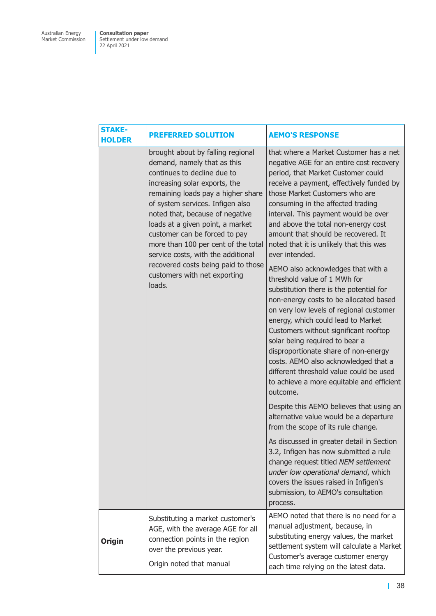| <b>STAKE-</b><br><b>HOLDER</b> | <b>PREFERRED SOLUTION</b>                                                                                                                                                                                                                                                                                                                                                                                                                                                        | <b>AEMO'S RESPONSE</b>                                                                                                                                                                                                                                                                                                                                                                                                                                                                                                                          |
|--------------------------------|----------------------------------------------------------------------------------------------------------------------------------------------------------------------------------------------------------------------------------------------------------------------------------------------------------------------------------------------------------------------------------------------------------------------------------------------------------------------------------|-------------------------------------------------------------------------------------------------------------------------------------------------------------------------------------------------------------------------------------------------------------------------------------------------------------------------------------------------------------------------------------------------------------------------------------------------------------------------------------------------------------------------------------------------|
|                                | brought about by falling regional<br>demand, namely that as this<br>continues to decline due to<br>increasing solar exports, the<br>remaining loads pay a higher share<br>of system services. Infigen also<br>noted that, because of negative<br>loads at a given point, a market<br>customer can be forced to pay<br>more than 100 per cent of the total<br>service costs, with the additional<br>recovered costs being paid to those<br>customers with net exporting<br>loads. | that where a Market Customer has a net<br>negative AGE for an entire cost recovery<br>period, that Market Customer could<br>receive a payment, effectively funded by<br>those Market Customers who are<br>consuming in the affected trading<br>interval. This payment would be over<br>and above the total non-energy cost<br>amount that should be recovered. It<br>noted that it is unlikely that this was<br>ever intended.<br>AEMO also acknowledges that with a<br>threshold value of 1 MWh for<br>substitution there is the potential for |
|                                |                                                                                                                                                                                                                                                                                                                                                                                                                                                                                  | non-energy costs to be allocated based<br>on very low levels of regional customer<br>energy, which could lead to Market<br>Customers without significant rooftop<br>solar being required to bear a<br>disproportionate share of non-energy<br>costs. AEMO also acknowledged that a<br>different threshold value could be used<br>to achieve a more equitable and efficient<br>outcome.                                                                                                                                                          |
|                                |                                                                                                                                                                                                                                                                                                                                                                                                                                                                                  | Despite this AEMO believes that using an<br>alternative value would be a departure<br>from the scope of its rule change.                                                                                                                                                                                                                                                                                                                                                                                                                        |
|                                |                                                                                                                                                                                                                                                                                                                                                                                                                                                                                  | As discussed in greater detail in Section<br>3.2, Infigen has now submitted a rule<br>change request titled NEM settlement<br>under low operational demand, which<br>covers the issues raised in Infigen's<br>submission, to AEMO's consultation<br>process.                                                                                                                                                                                                                                                                                    |
| <b>Origin</b>                  | Substituting a market customer's<br>AGE, with the average AGE for all<br>connection points in the region<br>over the previous year.<br>Origin noted that manual                                                                                                                                                                                                                                                                                                                  | AEMO noted that there is no need for a<br>manual adjustment, because, in<br>substituting energy values, the market<br>settlement system will calculate a Market<br>Customer's average customer energy<br>each time relying on the latest data.                                                                                                                                                                                                                                                                                                  |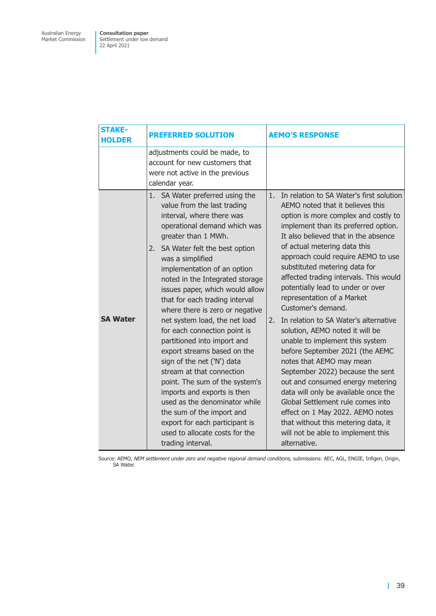| <b>STAKE-</b><br><b>HOLDER</b> | <b>PREFERRED SOLUTION</b>                                                                                                                                                                                                                                                                                                                                                                                                                                                                                                                                                                                                                                                                                                                                                                                 | <b>AEMO'S RESPONSE</b>                                                                                                                                                                                                                                                                                                                                                                                                                                                                                                                                                                                                                                                                                                                                                                                                                                                                                                         |
|--------------------------------|-----------------------------------------------------------------------------------------------------------------------------------------------------------------------------------------------------------------------------------------------------------------------------------------------------------------------------------------------------------------------------------------------------------------------------------------------------------------------------------------------------------------------------------------------------------------------------------------------------------------------------------------------------------------------------------------------------------------------------------------------------------------------------------------------------------|--------------------------------------------------------------------------------------------------------------------------------------------------------------------------------------------------------------------------------------------------------------------------------------------------------------------------------------------------------------------------------------------------------------------------------------------------------------------------------------------------------------------------------------------------------------------------------------------------------------------------------------------------------------------------------------------------------------------------------------------------------------------------------------------------------------------------------------------------------------------------------------------------------------------------------|
|                                | adjustments could be made, to<br>account for new customers that<br>were not active in the previous<br>calendar year.                                                                                                                                                                                                                                                                                                                                                                                                                                                                                                                                                                                                                                                                                      |                                                                                                                                                                                                                                                                                                                                                                                                                                                                                                                                                                                                                                                                                                                                                                                                                                                                                                                                |
| <b>SA Water</b>                | SA Water preferred using the<br>1.<br>value from the last trading<br>interval, where there was<br>operational demand which was<br>greater than 1 MWh.<br>2. SA Water felt the best option<br>was a simplified<br>implementation of an option<br>noted in the Integrated storage<br>issues paper, which would allow<br>that for each trading interval<br>where there is zero or negative<br>net system load, the net load<br>for each connection point is<br>partitioned into import and<br>export streams based on the<br>sign of the net ('N') data<br>stream at that connection<br>point. The sum of the system's<br>imports and exports is then<br>used as the denominator while<br>the sum of the import and<br>export for each participant is<br>used to allocate costs for the<br>trading interval. | In relation to SA Water's first solution<br>1.<br>AEMO noted that it believes this<br>option is more complex and costly to<br>implement than its preferred option.<br>It also believed that in the absence<br>of actual metering data this<br>approach could require AEMO to use<br>substituted metering data for<br>affected trading intervals. This would<br>potentially lead to under or over<br>representation of a Market<br>Customer's demand.<br>In relation to SA Water's alternative<br>2.<br>solution, AEMO noted it will be<br>unable to implement this system<br>before September 2021 (the AEMC<br>notes that AEMO may mean<br>September 2022) because the sent<br>out and consumed energy metering<br>data will only be available once the<br>Global Settlement rule comes into<br>effect on 1 May 2022. AEMO notes<br>that without this metering data, it<br>will not be able to implement this<br>alternative. |

Source: AEMO, *NEM settlement under zero and negative regional demand conditions,* submissions: AEC, AGL, ENGIE, Infigen, Origin, SA Water.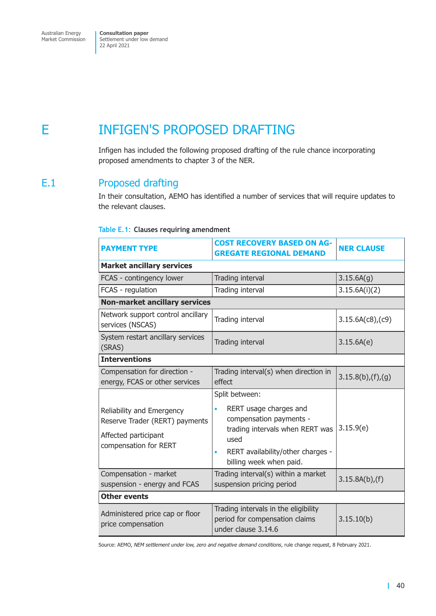## <span id="page-43-0"></span>E INFIGEN'S PROPOSED DRAFTING

Infigen has included the following proposed drafting of the rule chance incorporating proposed amendments to chapter 3 of the NER.

## E.1 Proposed drafting

In their consultation, AEMO has identified a number of services that will require updates to the relevant clauses.

#### **Table E.1: Clauses requiring amendment**

| <b>PAYMENT TYPE</b>                                                                                          | <b>COST RECOVERY BASED ON AG-</b><br><b>GREGATE REGIONAL DEMAND</b>                                                                                                            | <b>NER CLAUSE</b>      |  |  |  |
|--------------------------------------------------------------------------------------------------------------|--------------------------------------------------------------------------------------------------------------------------------------------------------------------------------|------------------------|--|--|--|
| <b>Market ancillary services</b>                                                                             |                                                                                                                                                                                |                        |  |  |  |
| FCAS - contingency lower                                                                                     | Trading interval                                                                                                                                                               | 3.15.6A(q)             |  |  |  |
| FCAS - regulation                                                                                            | Trading interval                                                                                                                                                               | 3.15.6A(i)(2)          |  |  |  |
| <b>Non-market ancillary services</b>                                                                         |                                                                                                                                                                                |                        |  |  |  |
| Network support control ancillary<br>services (NSCAS)                                                        | Trading interval                                                                                                                                                               | $3.15.6A(c8)$ , $(c9)$ |  |  |  |
| System restart ancillary services<br>(SRAS)                                                                  | Trading interval                                                                                                                                                               | 3.15.6A(e)             |  |  |  |
| <b>Interventions</b>                                                                                         |                                                                                                                                                                                |                        |  |  |  |
| Compensation for direction -<br>energy, FCAS or other services                                               | Trading interval(s) when direction in<br>effect                                                                                                                                | 3.15.8(b),(f),(g)      |  |  |  |
| Reliability and Emergency<br>Reserve Trader (RERT) payments<br>Affected participant<br>compensation for RERT | Split between:<br>RERT usage charges and<br>compensation payments -<br>trading intervals when RERT was<br>used<br>RERT availability/other charges -<br>billing week when paid. | 3.15.9(e)              |  |  |  |
| Compensation - market<br>suspension - energy and FCAS                                                        | Trading interval(s) within a market<br>suspension pricing period                                                                                                               | $3.15.8A(b)$ , (f)     |  |  |  |
| <b>Other events</b>                                                                                          |                                                                                                                                                                                |                        |  |  |  |
| Administered price cap or floor<br>price compensation                                                        | Trading intervals in the eligibility<br>period for compensation claims<br>under clause 3.14.6                                                                                  | 3.15.10(b)             |  |  |  |

Source: AEMO, *NEM settlement under low, zero and negative demand conditions*, rule change request, 8 February 2021.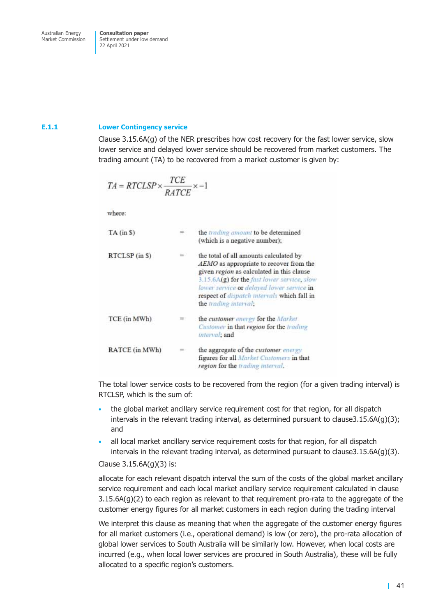#### **E.1.1 Lower Contingency service**

Clause 3.15.6A(g) of the NER prescribes how cost recovery for the fast lower service, slow lower service and delayed lower service should be recovered from market customers. The trading amount (TA) to be recovered from a market customer is given by:

$$
TA = RTCLSP \times \frac{TCE}{RATCE} \times -1
$$

where:

| $TA$ (in $$$ ) |   | the trading amount to be determined<br>(which is a negative number);                                                                                                                                                                                                                               |
|----------------|---|----------------------------------------------------------------------------------------------------------------------------------------------------------------------------------------------------------------------------------------------------------------------------------------------------|
| RTCLSP (in S)  |   | the total of all amounts calculated by<br>AEMO as appropriate to recover from the<br>given region as calculated in this clause<br>3.15.6A(g) for the fast lower service, slow<br>lower service or delayed lower service in<br>respect of dispatch intervals which fall in<br>the trading interval; |
| TCE (in MWh)   | ≕ | the customer energy for the Market<br>Customer in that region for the trading<br>interval: and                                                                                                                                                                                                     |
| RATCE (in MWh) |   | the aggregate of the <i>customer</i> energy<br>figures for all <i>Market Customers</i> in that<br>region for the trading interval.                                                                                                                                                                 |

The total lower service costs to be recovered from the region (for a given trading interval) is RTCLSP, which is the sum of:

- the global market ancillary service requirement cost for that region, for all dispatch intervals in the relevant trading interval, as determined pursuant to clause  $3.15.6A(g)(3)$ ; and
- all local market ancillary service requirement costs for that region, for all dispatch intervals in the relevant trading interval, as determined pursuant to clause3.15.6A(g)(3).

Clause 3.15.6A(g)(3) is:

allocate for each relevant dispatch interval the sum of the costs of the global market ancillary service requirement and each local market ancillary service requirement calculated in clause  $3.15.6A(g)(2)$  to each region as relevant to that requirement pro-rata to the aggregate of the customer energy figures for all market customers in each region during the trading interval

We interpret this clause as meaning that when the aggregate of the customer energy figures for all market customers (i.e., operational demand) is low (or zero), the pro-rata allocation of global lower services to South Australia will be similarly low. However, when local costs are incurred (e.g., when local lower services are procured in South Australia), these will be fully allocated to a specific region's customers.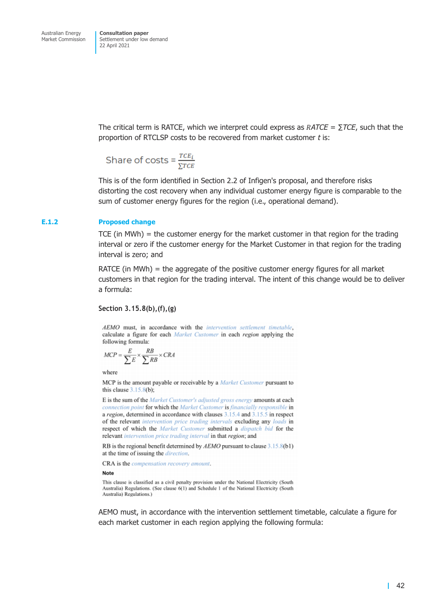The critical term is RATCE, which we interpret could express as  $RATCE = \sum TCE$ , such that the proportion of RTCLSP costs to be recovered from market customer *t* is:

Share of costs =  $\frac{r c E_i}{\Sigma T C E}$ 

This is of the form identified in Section 2.2 of Infigen's proposal, and therefore risks distorting the cost recovery when any individual customer energy figure is comparable to the sum of customer energy figures for the region (i.e., operational demand).

#### **E.1.2 Proposed change**

TCE (in MWh) = the customer energy for the market customer in that region for the trading interval or zero if the customer energy for the Market Customer in that region for the trading interval is zero; and

RATCE (in MWh) = the aggregate of the positive customer energy figures for all market customers in that region for the trading interval. The intent of this change would be to deliver a formula:

#### **Section 3.15.8(b),(f),(g)**

AEMO must, in accordance with the intervention settlement timetable, calculate a figure for each Market Customer in each region applying the following formula:

$$
MCP = \frac{E}{\sum E} \times \frac{RB}{\sum RB} \times CRA
$$

where

MCP is the amount payable or receivable by a *Market Customer* pursuant to this clause  $3.15.8(b)$ ;

E is the sum of the Market Customer's adjusted gross energy amounts at each connection point for which the Market Customer is financially responsible in a region, determined in accordance with clauses 3.15.4 and 3.15.5 in respect of the relevant intervention price trading intervals excluding any loads in respect of which the Market Customer submitted a dispatch bid for the relevant intervention price trading interval in that region; and

RB is the regional benefit determined by  $AEMO$  pursuant to clause  $3.15.8(b1)$ at the time of issuing the *direction*.

CRA is the compensation recovery amount.

**Note** 

This clause is classified as a civil penalty provision under the National Electricity (South Australia) Regulations. (See clause 6(1) and Schedule 1 of the National Electricity (South Australia) Regulations.)

AEMO must, in accordance with the intervention settlement timetable, calculate a figure for each market customer in each region applying the following formula: